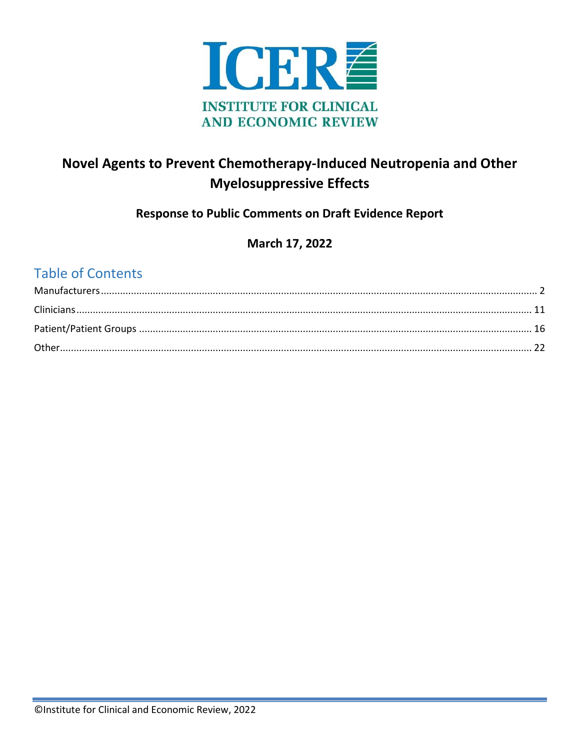

## Novel Agents to Prevent Chemotherapy-Induced Neutropenia and Other **Myelosuppressive Effects**

## **Response to Public Comments on Draft Evidence Report**

## March 17, 2022

## **Table of Contents**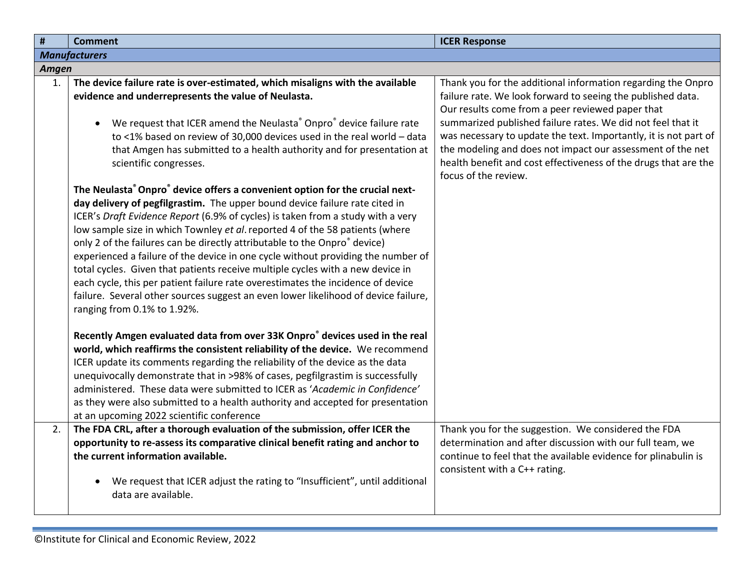<span id="page-1-0"></span>

| $\pmb{\sharp}$ | <b>Comment</b>                                                                                                                                                                                                                                                                                                                                                                                                                                                                                                                                                                                                                                                                                                                                                                                                                                                                                                                                                                                | <b>ICER Response</b>                                                                                                                                                                                                                                                                                               |
|----------------|-----------------------------------------------------------------------------------------------------------------------------------------------------------------------------------------------------------------------------------------------------------------------------------------------------------------------------------------------------------------------------------------------------------------------------------------------------------------------------------------------------------------------------------------------------------------------------------------------------------------------------------------------------------------------------------------------------------------------------------------------------------------------------------------------------------------------------------------------------------------------------------------------------------------------------------------------------------------------------------------------|--------------------------------------------------------------------------------------------------------------------------------------------------------------------------------------------------------------------------------------------------------------------------------------------------------------------|
|                | <b>Manufacturers</b>                                                                                                                                                                                                                                                                                                                                                                                                                                                                                                                                                                                                                                                                                                                                                                                                                                                                                                                                                                          |                                                                                                                                                                                                                                                                                                                    |
| Amgen          |                                                                                                                                                                                                                                                                                                                                                                                                                                                                                                                                                                                                                                                                                                                                                                                                                                                                                                                                                                                               |                                                                                                                                                                                                                                                                                                                    |
| 1.             | The device failure rate is over-estimated, which misaligns with the available<br>evidence and underrepresents the value of Neulasta.<br>We request that ICER amend the Neulasta® Onpro® device failure rate<br>$\bullet$<br>to <1% based on review of 30,000 devices used in the real world - data                                                                                                                                                                                                                                                                                                                                                                                                                                                                                                                                                                                                                                                                                            | Thank you for the additional information regarding the Onpro<br>failure rate. We look forward to seeing the published data.<br>Our results come from a peer reviewed paper that<br>summarized published failure rates. We did not feel that it<br>was necessary to update the text. Importantly, it is not part of |
|                | that Amgen has submitted to a health authority and for presentation at<br>scientific congresses.                                                                                                                                                                                                                                                                                                                                                                                                                                                                                                                                                                                                                                                                                                                                                                                                                                                                                              | the modeling and does not impact our assessment of the net<br>health benefit and cost effectiveness of the drugs that are the<br>focus of the review.                                                                                                                                                              |
|                | The Neulasta <sup>®</sup> Onpro <sup>®</sup> device offers a convenient option for the crucial next-<br>day delivery of pegfilgrastim. The upper bound device failure rate cited in<br>ICER's Draft Evidence Report (6.9% of cycles) is taken from a study with a very<br>low sample size in which Townley et al. reported 4 of the 58 patients (where<br>only 2 of the failures can be directly attributable to the Onpro® device)<br>experienced a failure of the device in one cycle without providing the number of<br>total cycles. Given that patients receive multiple cycles with a new device in<br>each cycle, this per patient failure rate overestimates the incidence of device<br>failure. Several other sources suggest an even lower likelihood of device failure,<br>ranging from 0.1% to 1.92%.<br>Recently Amgen evaluated data from over 33K Onpro <sup>®</sup> devices used in the real<br>world, which reaffirms the consistent reliability of the device. We recommend |                                                                                                                                                                                                                                                                                                                    |
|                | ICER update its comments regarding the reliability of the device as the data<br>unequivocally demonstrate that in >98% of cases, pegfilgrastim is successfully<br>administered. These data were submitted to ICER as 'Academic in Confidence'<br>as they were also submitted to a health authority and accepted for presentation<br>at an upcoming 2022 scientific conference                                                                                                                                                                                                                                                                                                                                                                                                                                                                                                                                                                                                                 |                                                                                                                                                                                                                                                                                                                    |
| 2.             | The FDA CRL, after a thorough evaluation of the submission, offer ICER the<br>opportunity to re-assess its comparative clinical benefit rating and anchor to<br>the current information available.<br>We request that ICER adjust the rating to "Insufficient", until additional<br>data are available.                                                                                                                                                                                                                                                                                                                                                                                                                                                                                                                                                                                                                                                                                       | Thank you for the suggestion. We considered the FDA<br>determination and after discussion with our full team, we<br>continue to feel that the available evidence for plinabulin is<br>consistent with a C++ rating.                                                                                                |
|                |                                                                                                                                                                                                                                                                                                                                                                                                                                                                                                                                                                                                                                                                                                                                                                                                                                                                                                                                                                                               |                                                                                                                                                                                                                                                                                                                    |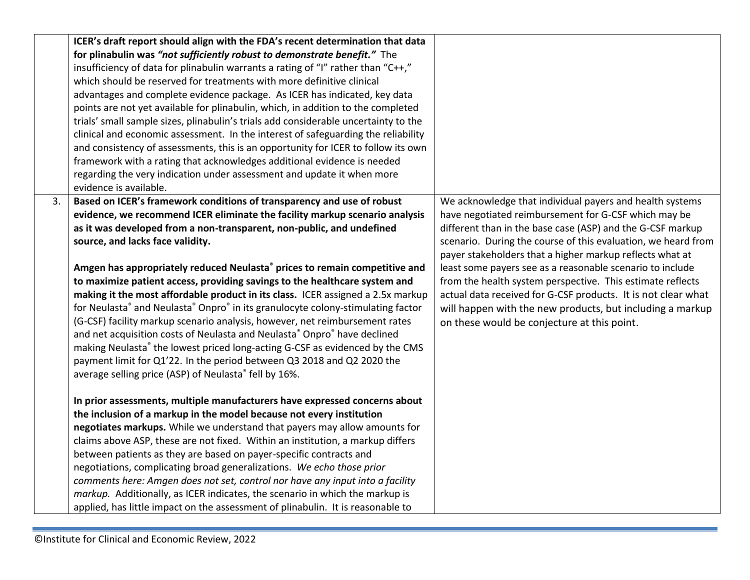|    | ICER's draft report should align with the FDA's recent determination that data      |                                                               |
|----|-------------------------------------------------------------------------------------|---------------------------------------------------------------|
|    | for plinabulin was "not sufficiently robust to demonstrate benefit." The            |                                                               |
|    | insufficiency of data for plinabulin warrants a rating of "I" rather than "C++,"    |                                                               |
|    | which should be reserved for treatments with more definitive clinical               |                                                               |
|    | advantages and complete evidence package. As ICER has indicated, key data           |                                                               |
|    | points are not yet available for plinabulin, which, in addition to the completed    |                                                               |
|    | trials' small sample sizes, plinabulin's trials add considerable uncertainty to the |                                                               |
|    | clinical and economic assessment. In the interest of safeguarding the reliability   |                                                               |
|    | and consistency of assessments, this is an opportunity for ICER to follow its own   |                                                               |
|    | framework with a rating that acknowledges additional evidence is needed             |                                                               |
|    | regarding the very indication under assessment and update it when more              |                                                               |
|    | evidence is available.                                                              |                                                               |
| 3. | Based on ICER's framework conditions of transparency and use of robust              | We acknowledge that individual payers and health systems      |
|    | evidence, we recommend ICER eliminate the facility markup scenario analysis         | have negotiated reimbursement for G-CSF which may be          |
|    | as it was developed from a non-transparent, non-public, and undefined               | different than in the base case (ASP) and the G-CSF markup    |
|    | source, and lacks face validity.                                                    | scenario. During the course of this evaluation, we heard from |
|    |                                                                                     | payer stakeholders that a higher markup reflects what at      |
|    | Amgen has appropriately reduced Neulasta® prices to remain competitive and          | least some payers see as a reasonable scenario to include     |
|    | to maximize patient access, providing savings to the healthcare system and          | from the health system perspective. This estimate reflects    |
|    | making it the most affordable product in its class. ICER assigned a 2.5x markup     | actual data received for G-CSF products. It is not clear what |
|    | for Neulasta® and Neulasta® Onpro® in its granulocyte colony-stimulating factor     | will happen with the new products, but including a markup     |
|    | (G-CSF) facility markup scenario analysis, however, net reimbursement rates         | on these would be conjecture at this point.                   |
|    | and net acquisition costs of Neulasta and Neulasta® Onpro® have declined            |                                                               |
|    | making Neulasta® the lowest priced long-acting G-CSF as evidenced by the CMS        |                                                               |
|    | payment limit for Q1'22. In the period between Q3 2018 and Q2 2020 the              |                                                               |
|    | average selling price (ASP) of Neulasta® fell by 16%.                               |                                                               |
|    |                                                                                     |                                                               |
|    | In prior assessments, multiple manufacturers have expressed concerns about          |                                                               |
|    | the inclusion of a markup in the model because not every institution                |                                                               |
|    | negotiates markups. While we understand that payers may allow amounts for           |                                                               |
|    | claims above ASP, these are not fixed. Within an institution, a markup differs      |                                                               |
|    | between patients as they are based on payer-specific contracts and                  |                                                               |
|    | negotiations, complicating broad generalizations. We echo those prior               |                                                               |
|    | comments here: Amgen does not set, control nor have any input into a facility       |                                                               |
|    | markup. Additionally, as ICER indicates, the scenario in which the markup is        |                                                               |
|    | applied, has little impact on the assessment of plinabulin. It is reasonable to     |                                                               |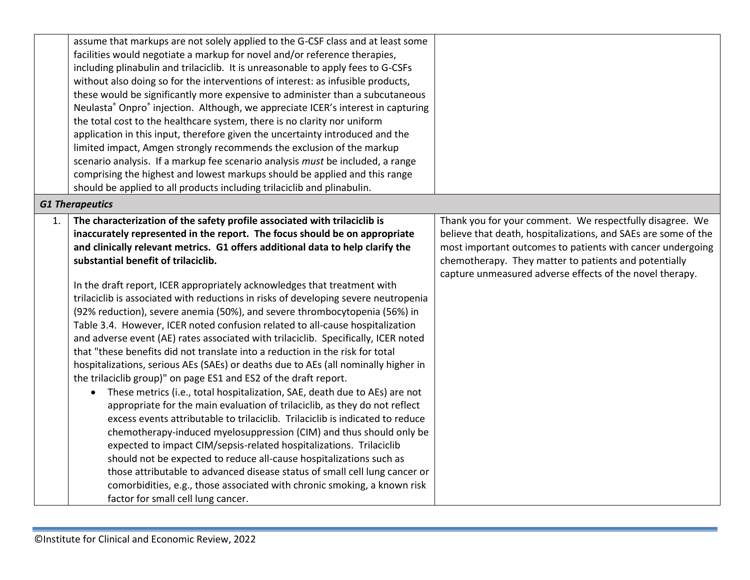|    | assume that markups are not solely applied to the G-CSF class and at least some                          |                                                                |
|----|----------------------------------------------------------------------------------------------------------|----------------------------------------------------------------|
|    | facilities would negotiate a markup for novel and/or reference therapies,                                |                                                                |
|    | including plinabulin and trilaciclib. It is unreasonable to apply fees to G-CSFs                         |                                                                |
|    | without also doing so for the interventions of interest: as infusible products,                          |                                                                |
|    | these would be significantly more expensive to administer than a subcutaneous                            |                                                                |
|    | Neulasta <sup>®</sup> Onpro <sup>®</sup> injection. Although, we appreciate ICER's interest in capturing |                                                                |
|    | the total cost to the healthcare system, there is no clarity nor uniform                                 |                                                                |
|    | application in this input, therefore given the uncertainty introduced and the                            |                                                                |
|    | limited impact, Amgen strongly recommends the exclusion of the markup                                    |                                                                |
|    | scenario analysis. If a markup fee scenario analysis must be included, a range                           |                                                                |
|    | comprising the highest and lowest markups should be applied and this range                               |                                                                |
|    | should be applied to all products including trilaciclib and plinabulin.                                  |                                                                |
|    | <b>G1 Therapeutics</b>                                                                                   |                                                                |
| 1. | The characterization of the safety profile associated with trilaciclib is                                | Thank you for your comment. We respectfully disagree. We       |
|    | inaccurately represented in the report. The focus should be on appropriate                               | believe that death, hospitalizations, and SAEs are some of the |
|    | and clinically relevant metrics. G1 offers additional data to help clarify the                           | most important outcomes to patients with cancer undergoing     |
|    | substantial benefit of trilaciclib.                                                                      | chemotherapy. They matter to patients and potentially          |
|    |                                                                                                          | capture unmeasured adverse effects of the novel therapy.       |
|    | In the draft report, ICER appropriately acknowledges that treatment with                                 |                                                                |
|    | trilaciclib is associated with reductions in risks of developing severe neutropenia                      |                                                                |
|    | (92% reduction), severe anemia (50%), and severe thrombocytopenia (56%) in                               |                                                                |
|    | Table 3.4. However, ICER noted confusion related to all-cause hospitalization                            |                                                                |
|    | and adverse event (AE) rates associated with trilaciclib. Specifically, ICER noted                       |                                                                |
|    | that "these benefits did not translate into a reduction in the risk for total                            |                                                                |
|    | hospitalizations, serious AEs (SAEs) or deaths due to AEs (all nominally higher in                       |                                                                |
|    | the trilaciclib group)" on page ES1 and ES2 of the draft report.                                         |                                                                |
|    | These metrics (i.e., total hospitalization, SAE, death due to AEs) are not<br>$\bullet$                  |                                                                |
|    | appropriate for the main evaluation of trilaciclib, as they do not reflect                               |                                                                |
|    | excess events attributable to trilaciclib. Trilaciclib is indicated to reduce                            |                                                                |
|    | chemotherapy-induced myelosuppression (CIM) and thus should only be                                      |                                                                |
|    | expected to impact CIM/sepsis-related hospitalizations. Trilaciclib                                      |                                                                |
|    | should not be expected to reduce all-cause hospitalizations such as                                      |                                                                |
|    | those attributable to advanced disease status of small cell lung cancer or                               |                                                                |
|    | comorbidities, e.g., those associated with chronic smoking, a known risk                                 |                                                                |
|    | factor for small cell lung cancer.                                                                       |                                                                |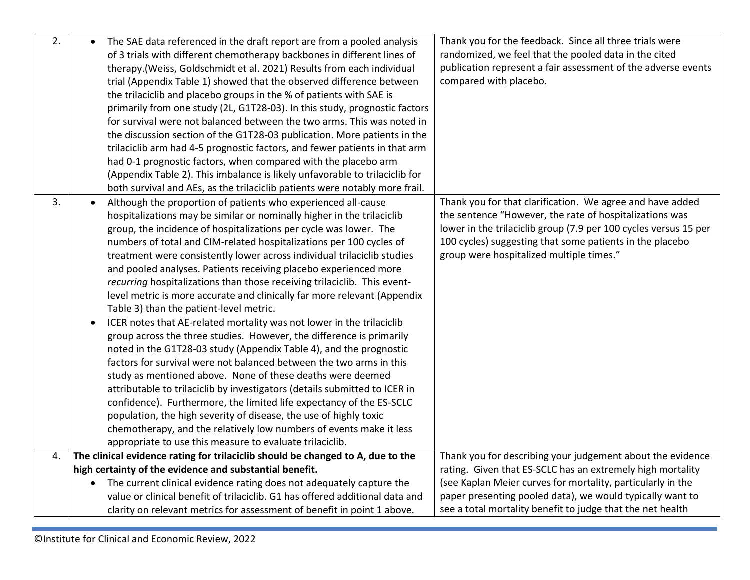| 2. | $\bullet$ | The SAE data referenced in the draft report are from a pooled analysis<br>of 3 trials with different chemotherapy backbones in different lines of<br>therapy.(Weiss, Goldschmidt et al. 2021) Results from each individual<br>trial (Appendix Table 1) showed that the observed difference between<br>the trilaciclib and placebo groups in the % of patients with SAE is<br>primarily from one study (2L, G1T28-03). In this study, prognostic factors<br>for survival were not balanced between the two arms. This was noted in<br>the discussion section of the G1T28-03 publication. More patients in the<br>trilaciclib arm had 4-5 prognostic factors, and fewer patients in that arm<br>had 0-1 prognostic factors, when compared with the placebo arm<br>(Appendix Table 2). This imbalance is likely unfavorable to trilaciclib for                                                                                                                                                                                                                                                                                                                                                                                       | Thank you for the feedback. Since all three trials were<br>randomized, we feel that the pooled data in the cited<br>publication represent a fair assessment of the adverse events<br>compared with placebo.                         |
|----|-----------|------------------------------------------------------------------------------------------------------------------------------------------------------------------------------------------------------------------------------------------------------------------------------------------------------------------------------------------------------------------------------------------------------------------------------------------------------------------------------------------------------------------------------------------------------------------------------------------------------------------------------------------------------------------------------------------------------------------------------------------------------------------------------------------------------------------------------------------------------------------------------------------------------------------------------------------------------------------------------------------------------------------------------------------------------------------------------------------------------------------------------------------------------------------------------------------------------------------------------------|-------------------------------------------------------------------------------------------------------------------------------------------------------------------------------------------------------------------------------------|
| 3. | $\bullet$ | both survival and AEs, as the trilaciclib patients were notably more frail.<br>Although the proportion of patients who experienced all-cause                                                                                                                                                                                                                                                                                                                                                                                                                                                                                                                                                                                                                                                                                                                                                                                                                                                                                                                                                                                                                                                                                       | Thank you for that clarification. We agree and have added                                                                                                                                                                           |
|    |           | hospitalizations may be similar or nominally higher in the trilaciclib<br>group, the incidence of hospitalizations per cycle was lower. The<br>numbers of total and CIM-related hospitalizations per 100 cycles of<br>treatment were consistently lower across individual trilaciclib studies<br>and pooled analyses. Patients receiving placebo experienced more<br>recurring hospitalizations than those receiving trilaciclib. This event-<br>level metric is more accurate and clinically far more relevant (Appendix<br>Table 3) than the patient-level metric.<br>ICER notes that AE-related mortality was not lower in the trilaciclib<br>group across the three studies. However, the difference is primarily<br>noted in the G1T28-03 study (Appendix Table 4), and the prognostic<br>factors for survival were not balanced between the two arms in this<br>study as mentioned above. None of these deaths were deemed<br>attributable to trilaciclib by investigators (details submitted to ICER in<br>confidence). Furthermore, the limited life expectancy of the ES-SCLC<br>population, the high severity of disease, the use of highly toxic<br>chemotherapy, and the relatively low numbers of events make it less | the sentence "However, the rate of hospitalizations was<br>lower in the trilaciclib group (7.9 per 100 cycles versus 15 per<br>100 cycles) suggesting that some patients in the placebo<br>group were hospitalized multiple times." |
| 4. |           | appropriate to use this measure to evaluate trilaciclib.<br>The clinical evidence rating for trilaciclib should be changed to A, due to the                                                                                                                                                                                                                                                                                                                                                                                                                                                                                                                                                                                                                                                                                                                                                                                                                                                                                                                                                                                                                                                                                        | Thank you for describing your judgement about the evidence                                                                                                                                                                          |
|    |           | high certainty of the evidence and substantial benefit.                                                                                                                                                                                                                                                                                                                                                                                                                                                                                                                                                                                                                                                                                                                                                                                                                                                                                                                                                                                                                                                                                                                                                                            | rating. Given that ES-SCLC has an extremely high mortality                                                                                                                                                                          |
|    | $\bullet$ | The current clinical evidence rating does not adequately capture the                                                                                                                                                                                                                                                                                                                                                                                                                                                                                                                                                                                                                                                                                                                                                                                                                                                                                                                                                                                                                                                                                                                                                               | (see Kaplan Meier curves for mortality, particularly in the                                                                                                                                                                         |
|    |           | value or clinical benefit of trilaciclib. G1 has offered additional data and                                                                                                                                                                                                                                                                                                                                                                                                                                                                                                                                                                                                                                                                                                                                                                                                                                                                                                                                                                                                                                                                                                                                                       | paper presenting pooled data), we would typically want to                                                                                                                                                                           |
|    |           | clarity on relevant metrics for assessment of benefit in point 1 above.                                                                                                                                                                                                                                                                                                                                                                                                                                                                                                                                                                                                                                                                                                                                                                                                                                                                                                                                                                                                                                                                                                                                                            | see a total mortality benefit to judge that the net health                                                                                                                                                                          |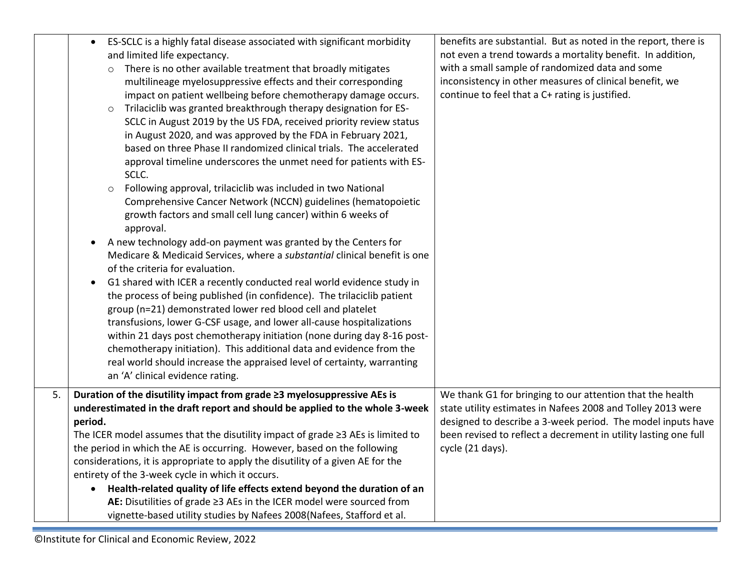|    | ES-SCLC is a highly fatal disease associated with significant morbidity<br>$\bullet$<br>and limited life expectancy.<br>There is no other available treatment that broadly mitigates<br>$\circ$<br>multilineage myelosuppressive effects and their corresponding<br>impact on patient wellbeing before chemotherapy damage occurs.<br>Trilaciclib was granted breakthrough therapy designation for ES-<br>$\circ$<br>SCLC in August 2019 by the US FDA, received priority review status<br>in August 2020, and was approved by the FDA in February 2021,<br>based on three Phase II randomized clinical trials. The accelerated<br>approval timeline underscores the unmet need for patients with ES-<br>SCLC.<br>Following approval, trilaciclib was included in two National<br>$\circ$<br>Comprehensive Cancer Network (NCCN) guidelines (hematopoietic<br>growth factors and small cell lung cancer) within 6 weeks of<br>approval.<br>A new technology add-on payment was granted by the Centers for<br>Medicare & Medicaid Services, where a substantial clinical benefit is one<br>of the criteria for evaluation.<br>G1 shared with ICER a recently conducted real world evidence study in<br>the process of being published (in confidence). The trilaciclib patient<br>group (n=21) demonstrated lower red blood cell and platelet<br>transfusions, lower G-CSF usage, and lower all-cause hospitalizations<br>within 21 days post chemotherapy initiation (none during day 8-16 post-<br>chemotherapy initiation). This additional data and evidence from the<br>real world should increase the appraised level of certainty, warranting | benefits are substantial. But as noted in the report, there is<br>not even a trend towards a mortality benefit. In addition,<br>with a small sample of randomized data and some<br>inconsistency in other measures of clinical benefit, we<br>continue to feel that a C+ rating is justified. |
|----|-----------------------------------------------------------------------------------------------------------------------------------------------------------------------------------------------------------------------------------------------------------------------------------------------------------------------------------------------------------------------------------------------------------------------------------------------------------------------------------------------------------------------------------------------------------------------------------------------------------------------------------------------------------------------------------------------------------------------------------------------------------------------------------------------------------------------------------------------------------------------------------------------------------------------------------------------------------------------------------------------------------------------------------------------------------------------------------------------------------------------------------------------------------------------------------------------------------------------------------------------------------------------------------------------------------------------------------------------------------------------------------------------------------------------------------------------------------------------------------------------------------------------------------------------------------------------------------------------------------------------------------------------------|-----------------------------------------------------------------------------------------------------------------------------------------------------------------------------------------------------------------------------------------------------------------------------------------------|
|    | an 'A' clinical evidence rating.                                                                                                                                                                                                                                                                                                                                                                                                                                                                                                                                                                                                                                                                                                                                                                                                                                                                                                                                                                                                                                                                                                                                                                                                                                                                                                                                                                                                                                                                                                                                                                                                                    |                                                                                                                                                                                                                                                                                               |
| 5. | Duration of the disutility impact from grade ≥3 myelosuppressive AEs is<br>underestimated in the draft report and should be applied to the whole 3-week<br>period.<br>The ICER model assumes that the disutility impact of grade $\geq$ 3 AEs is limited to<br>the period in which the AE is occurring. However, based on the following<br>considerations, it is appropriate to apply the disutility of a given AE for the<br>entirety of the 3-week cycle in which it occurs.<br>Health-related quality of life effects extend beyond the duration of an<br>$\bullet$<br>AE: Disutilities of grade ≥3 AEs in the ICER model were sourced from<br>vignette-based utility studies by Nafees 2008(Nafees, Stafford et al.                                                                                                                                                                                                                                                                                                                                                                                                                                                                                                                                                                                                                                                                                                                                                                                                                                                                                                                             | We thank G1 for bringing to our attention that the health<br>state utility estimates in Nafees 2008 and Tolley 2013 were<br>designed to describe a 3-week period. The model inputs have<br>been revised to reflect a decrement in utility lasting one full<br>cycle (21 days).                |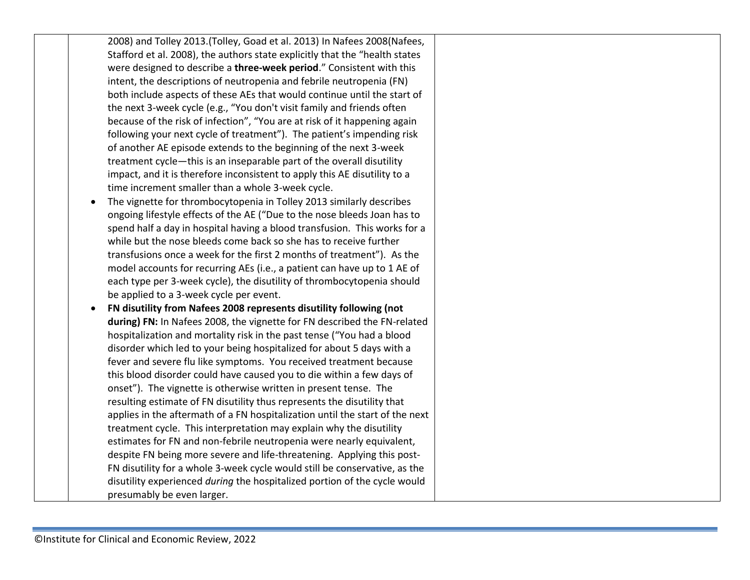2008) and Tolley 2013.(Tolley, Goad et al. 2013) In Nafees 2008(Nafees, Stafford et al. 2008), the authors state explicitly that the "health states were designed to describe a **three-week period**." Consistent with this intent, the descriptions of neutropenia and febrile neutropenia (FN) both include aspects of these AEs that would continue until the start of the next 3-week cycle (e.g., "You don't visit family and friends often because of the risk of infection", "You are at risk of it happening again following your next cycle of treatment"). The patient's impending risk of another AE episode extends to the beginning of the next 3-week treatment cycle—this is an inseparable part of the overall disutility impact, and it is therefore inconsistent to apply this AE disutility to a time increment smaller than a whole 3-week cycle.

- The vignette for thrombocytopenia in Tolley 2013 similarly describes ongoing lifestyle effects of the AE ("Due to the nose bleeds Joan has to spend half a day in hospital having a blood transfusion. This works for a while but the nose bleeds come back so she has to receive further transfusions once a week for the first 2 months of treatment"). As the model accounts for recurring AEs (i.e., a patient can have up to 1 AE of each type per 3-week cycle), the disutility of thrombocytopenia should be applied to a 3-week cycle per event.
- **FN disutility from Nafees 2008 represents disutility following (not during) FN:** In Nafees 2008, the vignette for FN described the FN-related hospitalization and mortality risk in the past tense ("You had a blood disorder which led to your being hospitalized for about 5 days with a fever and severe flu like symptoms. You received treatment because this blood disorder could have caused you to die within a few days of onset"). The vignette is otherwise written in present tense. The resulting estimate of FN disutility thus represents the disutility that applies in the aftermath of a FN hospitalization until the start of the next treatment cycle. This interpretation may explain why the disutility estimates for FN and non-febrile neutropenia were nearly equivalent, despite FN being more severe and life-threatening. Applying this post-FN disutility for a whole 3-week cycle would still be conservative, as the disutility experienced *during* the hospitalized portion of the cycle would presumably be even larger.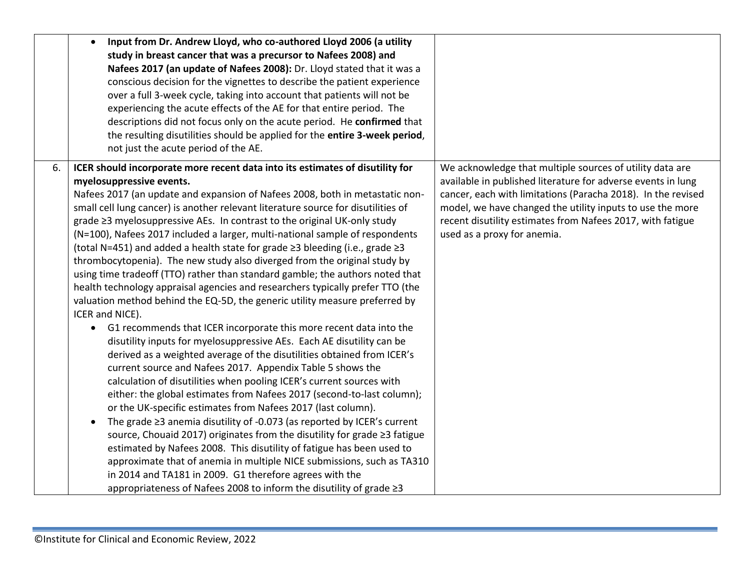|    | Input from Dr. Andrew Lloyd, who co-authored Lloyd 2006 (a utility<br>$\bullet$<br>study in breast cancer that was a precursor to Nafees 2008) and<br>Nafees 2017 (an update of Nafees 2008): Dr. Lloyd stated that it was a<br>conscious decision for the vignettes to describe the patient experience<br>over a full 3-week cycle, taking into account that patients will not be<br>experiencing the acute effects of the AE for that entire period. The<br>descriptions did not focus only on the acute period. He confirmed that<br>the resulting disutilities should be applied for the entire 3-week period,<br>not just the acute period of the AE.                                                                                                                                                                                                                                                                                                                                                                                                                                                                                                                                                                                                                                                                                                                                                                                                                                                                                                                                                                                                                                                                                                                                                                                              |                                                                                                                                                                                                                                                                                                                                                    |
|----|---------------------------------------------------------------------------------------------------------------------------------------------------------------------------------------------------------------------------------------------------------------------------------------------------------------------------------------------------------------------------------------------------------------------------------------------------------------------------------------------------------------------------------------------------------------------------------------------------------------------------------------------------------------------------------------------------------------------------------------------------------------------------------------------------------------------------------------------------------------------------------------------------------------------------------------------------------------------------------------------------------------------------------------------------------------------------------------------------------------------------------------------------------------------------------------------------------------------------------------------------------------------------------------------------------------------------------------------------------------------------------------------------------------------------------------------------------------------------------------------------------------------------------------------------------------------------------------------------------------------------------------------------------------------------------------------------------------------------------------------------------------------------------------------------------------------------------------------------------|----------------------------------------------------------------------------------------------------------------------------------------------------------------------------------------------------------------------------------------------------------------------------------------------------------------------------------------------------|
| 6. | ICER should incorporate more recent data into its estimates of disutility for<br>myelosuppressive events.<br>Nafees 2017 (an update and expansion of Nafees 2008, both in metastatic non-<br>small cell lung cancer) is another relevant literature source for disutilities of<br>grade ≥3 myelosuppressive AEs. In contrast to the original UK-only study<br>(N=100), Nafees 2017 included a larger, multi-national sample of respondents<br>(total N=451) and added a health state for grade ≥3 bleeding (i.e., grade ≥3<br>thrombocytopenia). The new study also diverged from the original study by<br>using time tradeoff (TTO) rather than standard gamble; the authors noted that<br>health technology appraisal agencies and researchers typically prefer TTO (the<br>valuation method behind the EQ-5D, the generic utility measure preferred by<br>ICER and NICE).<br>• G1 recommends that ICER incorporate this more recent data into the<br>disutility inputs for myelosuppressive AEs. Each AE disutility can be<br>derived as a weighted average of the disutilities obtained from ICER's<br>current source and Nafees 2017. Appendix Table 5 shows the<br>calculation of disutilities when pooling ICER's current sources with<br>either: the global estimates from Nafees 2017 (second-to-last column);<br>or the UK-specific estimates from Nafees 2017 (last column).<br>The grade $\geq$ 3 anemia disutility of -0.073 (as reported by ICER's current<br>$\bullet$<br>source, Chouaid 2017) originates from the disutility for grade ≥3 fatigue<br>estimated by Nafees 2008. This disutility of fatigue has been used to<br>approximate that of anemia in multiple NICE submissions, such as TA310<br>in 2014 and TA181 in 2009. G1 therefore agrees with the<br>appropriateness of Nafees 2008 to inform the disutility of grade ≥3 | We acknowledge that multiple sources of utility data are<br>available in published literature for adverse events in lung<br>cancer, each with limitations (Paracha 2018). In the revised<br>model, we have changed the utility inputs to use the more<br>recent disutility estimates from Nafees 2017, with fatigue<br>used as a proxy for anemia. |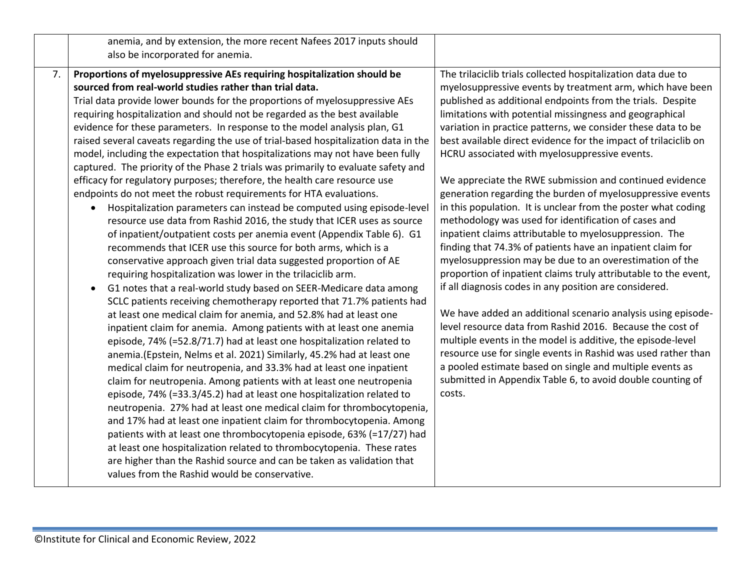|    | anemia, and by extension, the more recent Nafees 2017 inputs should<br>also be incorporated for anemia.                                                                                                                                                                                                                                                                                                                                                                                                                                                                                                                                                                                                                                                                                                                                                                                                                                                                                                                                                                                                                                                                                                                                                                                                                                                                                                                                                                                                                                                                                                                                                                                                                                                                                                                                                                                                                                                                                                                                                                                                                                                                                                                                                                                                                            |                                                                                                                                                                                                                                                                                                                                                                                                                                                                                                                                                                                                                                                                                                                                                                                                                                                                                                                                                                                                                                                                                                                                                                                                                                                                                                                                                                                                           |
|----|------------------------------------------------------------------------------------------------------------------------------------------------------------------------------------------------------------------------------------------------------------------------------------------------------------------------------------------------------------------------------------------------------------------------------------------------------------------------------------------------------------------------------------------------------------------------------------------------------------------------------------------------------------------------------------------------------------------------------------------------------------------------------------------------------------------------------------------------------------------------------------------------------------------------------------------------------------------------------------------------------------------------------------------------------------------------------------------------------------------------------------------------------------------------------------------------------------------------------------------------------------------------------------------------------------------------------------------------------------------------------------------------------------------------------------------------------------------------------------------------------------------------------------------------------------------------------------------------------------------------------------------------------------------------------------------------------------------------------------------------------------------------------------------------------------------------------------------------------------------------------------------------------------------------------------------------------------------------------------------------------------------------------------------------------------------------------------------------------------------------------------------------------------------------------------------------------------------------------------------------------------------------------------------------------------------------------------|-----------------------------------------------------------------------------------------------------------------------------------------------------------------------------------------------------------------------------------------------------------------------------------------------------------------------------------------------------------------------------------------------------------------------------------------------------------------------------------------------------------------------------------------------------------------------------------------------------------------------------------------------------------------------------------------------------------------------------------------------------------------------------------------------------------------------------------------------------------------------------------------------------------------------------------------------------------------------------------------------------------------------------------------------------------------------------------------------------------------------------------------------------------------------------------------------------------------------------------------------------------------------------------------------------------------------------------------------------------------------------------------------------------|
| 7. | Proportions of myelosuppressive AEs requiring hospitalization should be<br>sourced from real-world studies rather than trial data.<br>Trial data provide lower bounds for the proportions of myelosuppressive AEs<br>requiring hospitalization and should not be regarded as the best available<br>evidence for these parameters. In response to the model analysis plan, G1<br>raised several caveats regarding the use of trial-based hospitalization data in the<br>model, including the expectation that hospitalizations may not have been fully<br>captured. The priority of the Phase 2 trials was primarily to evaluate safety and<br>efficacy for regulatory purposes; therefore, the health care resource use<br>endpoints do not meet the robust requirements for HTA evaluations.<br>Hospitalization parameters can instead be computed using episode-level<br>resource use data from Rashid 2016, the study that ICER uses as source<br>of inpatient/outpatient costs per anemia event (Appendix Table 6). G1<br>recommends that ICER use this source for both arms, which is a<br>conservative approach given trial data suggested proportion of AE<br>requiring hospitalization was lower in the trilaciclib arm.<br>G1 notes that a real-world study based on SEER-Medicare data among<br>SCLC patients receiving chemotherapy reported that 71.7% patients had<br>at least one medical claim for anemia, and 52.8% had at least one<br>inpatient claim for anemia. Among patients with at least one anemia<br>episode, 74% (=52.8/71.7) had at least one hospitalization related to<br>anemia. (Epstein, Nelms et al. 2021) Similarly, 45.2% had at least one<br>medical claim for neutropenia, and 33.3% had at least one inpatient<br>claim for neutropenia. Among patients with at least one neutropenia<br>episode, 74% (=33.3/45.2) had at least one hospitalization related to<br>neutropenia. 27% had at least one medical claim for thrombocytopenia,<br>and 17% had at least one inpatient claim for thrombocytopenia. Among<br>patients with at least one thrombocytopenia episode, 63% (=17/27) had<br>at least one hospitalization related to thrombocytopenia. These rates<br>are higher than the Rashid source and can be taken as validation that<br>values from the Rashid would be conservative. | The trilaciclib trials collected hospitalization data due to<br>myelosuppressive events by treatment arm, which have been<br>published as additional endpoints from the trials. Despite<br>limitations with potential missingness and geographical<br>variation in practice patterns, we consider these data to be<br>best available direct evidence for the impact of trilaciclib on<br>HCRU associated with myelosuppressive events.<br>We appreciate the RWE submission and continued evidence<br>generation regarding the burden of myelosuppressive events<br>in this population. It is unclear from the poster what coding<br>methodology was used for identification of cases and<br>inpatient claims attributable to myelosuppression. The<br>finding that 74.3% of patients have an inpatient claim for<br>myelosuppression may be due to an overestimation of the<br>proportion of inpatient claims truly attributable to the event,<br>if all diagnosis codes in any position are considered.<br>We have added an additional scenario analysis using episode-<br>level resource data from Rashid 2016. Because the cost of<br>multiple events in the model is additive, the episode-level<br>resource use for single events in Rashid was used rather than<br>a pooled estimate based on single and multiple events as<br>submitted in Appendix Table 6, to avoid double counting of<br>costs. |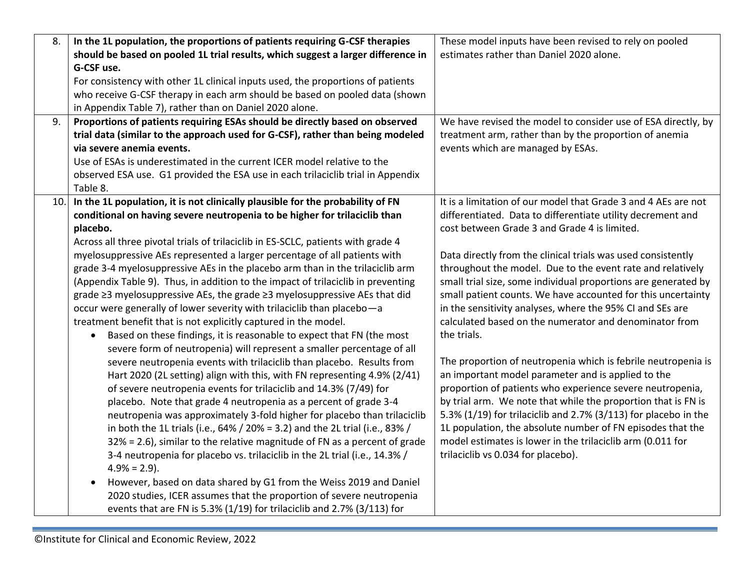| 8.  | In the 1L population, the proportions of patients requiring G-CSF therapies        | These model inputs have been revised to rely on pooled          |
|-----|------------------------------------------------------------------------------------|-----------------------------------------------------------------|
|     | should be based on pooled 1L trial results, which suggest a larger difference in   | estimates rather than Daniel 2020 alone.                        |
|     | G-CSF use.                                                                         |                                                                 |
|     | For consistency with other 1L clinical inputs used, the proportions of patients    |                                                                 |
|     | who receive G-CSF therapy in each arm should be based on pooled data (shown        |                                                                 |
|     | in Appendix Table 7), rather than on Daniel 2020 alone.                            |                                                                 |
| 9.  | Proportions of patients requiring ESAs should be directly based on observed        | We have revised the model to consider use of ESA directly, by   |
|     | trial data (similar to the approach used for G-CSF), rather than being modeled     | treatment arm, rather than by the proportion of anemia          |
|     | via severe anemia events.                                                          | events which are managed by ESAs.                               |
|     | Use of ESAs is underestimated in the current ICER model relative to the            |                                                                 |
|     | observed ESA use. G1 provided the ESA use in each trilaciclib trial in Appendix    |                                                                 |
|     | Table 8.                                                                           |                                                                 |
| 10. | In the 1L population, it is not clinically plausible for the probability of FN     | It is a limitation of our model that Grade 3 and 4 AEs are not  |
|     | conditional on having severe neutropenia to be higher for trilaciclib than         | differentiated. Data to differentiate utility decrement and     |
|     | placebo.                                                                           | cost between Grade 3 and Grade 4 is limited.                    |
|     | Across all three pivotal trials of trilaciclib in ES-SCLC, patients with grade 4   |                                                                 |
|     | myelosuppressive AEs represented a larger percentage of all patients with          | Data directly from the clinical trials was used consistently    |
|     | grade 3-4 myelosuppressive AEs in the placebo arm than in the trilaciclib arm      | throughout the model. Due to the event rate and relatively      |
|     | (Appendix Table 9). Thus, in addition to the impact of trilaciclib in preventing   | small trial size, some individual proportions are generated by  |
|     | grade ≥3 myelosuppressive AEs, the grade ≥3 myelosuppressive AEs that did          | small patient counts. We have accounted for this uncertainty    |
|     | occur were generally of lower severity with trilaciclib than placebo-a             | in the sensitivity analyses, where the 95% CI and SEs are       |
|     | treatment benefit that is not explicitly captured in the model.                    | calculated based on the numerator and denominator from          |
|     | Based on these findings, it is reasonable to expect that FN (the most<br>$\bullet$ | the trials.                                                     |
|     | severe form of neutropenia) will represent a smaller percentage of all             |                                                                 |
|     | severe neutropenia events with trilaciclib than placebo. Results from              | The proportion of neutropenia which is febrile neutropenia is   |
|     | Hart 2020 (2L setting) align with this, with FN representing 4.9% (2/41)           | an important model parameter and is applied to the              |
|     | of severe neutropenia events for trilaciclib and 14.3% (7/49) for                  | proportion of patients who experience severe neutropenia,       |
|     | placebo. Note that grade 4 neutropenia as a percent of grade 3-4                   | by trial arm. We note that while the proportion that is FN is   |
|     | neutropenia was approximately 3-fold higher for placebo than trilaciclib           | 5.3% (1/19) for trilaciclib and 2.7% (3/113) for placebo in the |
|     | in both the 1L trials (i.e., 64% / 20% = 3.2) and the 2L trial (i.e., 83% /        | 1L population, the absolute number of FN episodes that the      |
|     | $32\%$ = 2.6), similar to the relative magnitude of FN as a percent of grade       | model estimates is lower in the trilaciclib arm (0.011 for      |
|     | 3-4 neutropenia for placebo vs. trilaciclib in the 2L trial (i.e., 14.3% /         | trilaciclib vs 0.034 for placebo).                              |
|     | $4.9\% = 2.9$ ).                                                                   |                                                                 |
|     | However, based on data shared by G1 from the Weiss 2019 and Daniel<br>$\bullet$    |                                                                 |
|     | 2020 studies, ICER assumes that the proportion of severe neutropenia               |                                                                 |
|     | events that are FN is 5.3% (1/19) for trilaciclib and 2.7% (3/113) for             |                                                                 |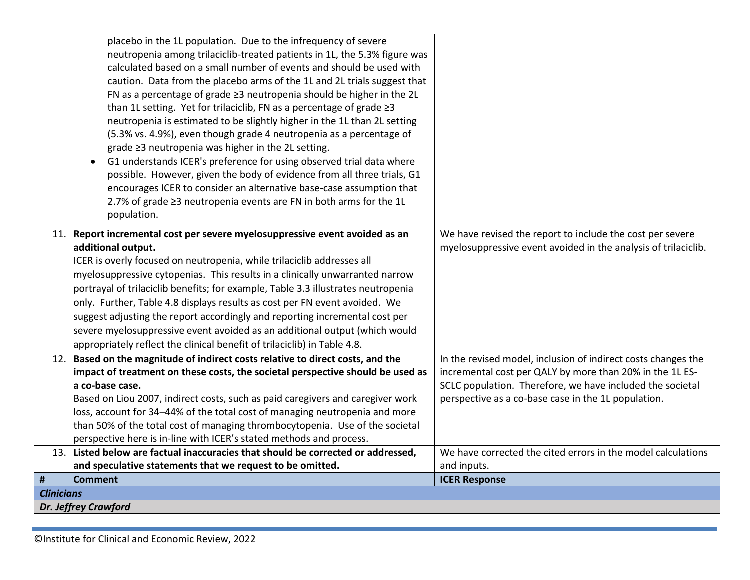<span id="page-10-0"></span>

|                             | placebo in the 1L population. Due to the infrequency of severe                    |                                                                |  |
|-----------------------------|-----------------------------------------------------------------------------------|----------------------------------------------------------------|--|
|                             | neutropenia among trilaciclib-treated patients in 1L, the 5.3% figure was         |                                                                |  |
|                             | calculated based on a small number of events and should be used with              |                                                                |  |
|                             | caution. Data from the placebo arms of the 1L and 2L trials suggest that          |                                                                |  |
|                             | FN as a percentage of grade $\geq$ 3 neutropenia should be higher in the 2L       |                                                                |  |
|                             | than 1L setting. Yet for trilaciclib, FN as a percentage of grade ≥3              |                                                                |  |
|                             | neutropenia is estimated to be slightly higher in the 1L than 2L setting          |                                                                |  |
|                             | (5.3% vs. 4.9%), even though grade 4 neutropenia as a percentage of               |                                                                |  |
|                             | grade ≥3 neutropenia was higher in the 2L setting.                                |                                                                |  |
|                             | G1 understands ICER's preference for using observed trial data where<br>$\bullet$ |                                                                |  |
|                             | possible. However, given the body of evidence from all three trials, G1           |                                                                |  |
|                             | encourages ICER to consider an alternative base-case assumption that              |                                                                |  |
|                             | 2.7% of grade ≥3 neutropenia events are FN in both arms for the 1L                |                                                                |  |
|                             | population.                                                                       |                                                                |  |
| 11.                         | Report incremental cost per severe myelosuppressive event avoided as an           | We have revised the report to include the cost per severe      |  |
|                             | additional output.                                                                | myelosuppressive event avoided in the analysis of trilaciclib. |  |
|                             | ICER is overly focused on neutropenia, while trilaciclib addresses all            |                                                                |  |
|                             | myelosuppressive cytopenias. This results in a clinically unwarranted narrow      |                                                                |  |
|                             | portrayal of trilaciclib benefits; for example, Table 3.3 illustrates neutropenia |                                                                |  |
|                             | only. Further, Table 4.8 displays results as cost per FN event avoided. We        |                                                                |  |
|                             | suggest adjusting the report accordingly and reporting incremental cost per       |                                                                |  |
|                             | severe myelosuppressive event avoided as an additional output (which would        |                                                                |  |
|                             | appropriately reflect the clinical benefit of trilaciclib) in Table 4.8.          |                                                                |  |
| 12.                         | Based on the magnitude of indirect costs relative to direct costs, and the        | In the revised model, inclusion of indirect costs changes the  |  |
|                             | impact of treatment on these costs, the societal perspective should be used as    | incremental cost per QALY by more than 20% in the 1L ES-       |  |
|                             | a co-base case.                                                                   | SCLC population. Therefore, we have included the societal      |  |
|                             | Based on Liou 2007, indirect costs, such as paid caregivers and caregiver work    | perspective as a co-base case in the 1L population.            |  |
|                             | loss, account for 34-44% of the total cost of managing neutropenia and more       |                                                                |  |
|                             | than 50% of the total cost of managing thrombocytopenia. Use of the societal      |                                                                |  |
|                             | perspective here is in-line with ICER's stated methods and process.               |                                                                |  |
| 13.                         | Listed below are factual inaccuracies that should be corrected or addressed,      | We have corrected the cited errors in the model calculations   |  |
|                             | and speculative statements that we request to be omitted.                         | and inputs.                                                    |  |
| #                           | <b>Comment</b>                                                                    | <b>ICER Response</b>                                           |  |
|                             | <b>Clinicians</b>                                                                 |                                                                |  |
| <b>Dr. Jeffrey Crawford</b> |                                                                                   |                                                                |  |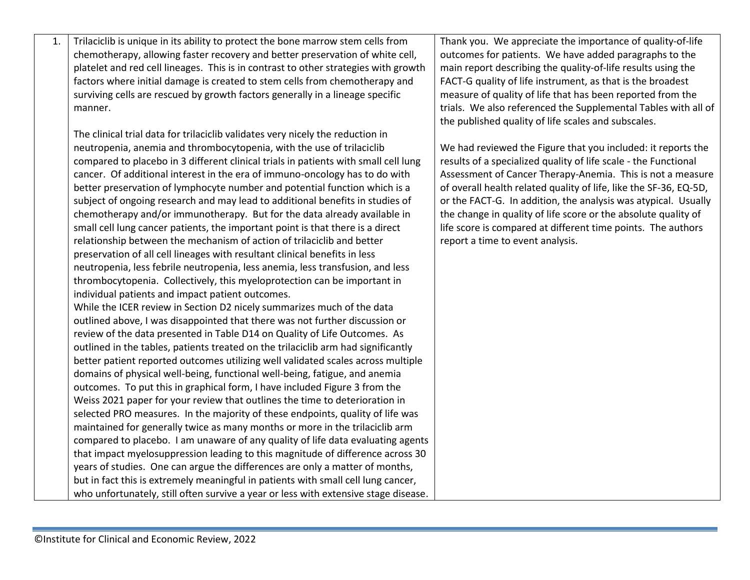| 1. | Trilaciclib is unique in its ability to protect the bone marrow stem cells from     | Thank you. We appreciate the importance of quality-of-life        |
|----|-------------------------------------------------------------------------------------|-------------------------------------------------------------------|
|    | chemotherapy, allowing faster recovery and better preservation of white cell,       | outcomes for patients. We have added paragraphs to the            |
|    | platelet and red cell lineages. This is in contrast to other strategies with growth | main report describing the quality-of-life results using the      |
|    | factors where initial damage is created to stem cells from chemotherapy and         | FACT-G quality of life instrument, as that is the broadest        |
|    | surviving cells are rescued by growth factors generally in a lineage specific       | measure of quality of life that has been reported from the        |
|    | manner.                                                                             | trials. We also referenced the Supplemental Tables with all of    |
|    |                                                                                     | the published quality of life scales and subscales.               |
|    | The clinical trial data for trilaciclib validates very nicely the reduction in      |                                                                   |
|    | neutropenia, anemia and thrombocytopenia, with the use of trilaciclib               | We had reviewed the Figure that you included: it reports the      |
|    | compared to placebo in 3 different clinical trials in patients with small cell lung | results of a specialized quality of life scale - the Functional   |
|    | cancer. Of additional interest in the era of immuno-oncology has to do with         | Assessment of Cancer Therapy-Anemia. This is not a measure        |
|    | better preservation of lymphocyte number and potential function which is a          | of overall health related quality of life, like the SF-36, EQ-5D, |
|    | subject of ongoing research and may lead to additional benefits in studies of       | or the FACT-G. In addition, the analysis was atypical. Usually    |
|    | chemotherapy and/or immunotherapy. But for the data already available in            | the change in quality of life score or the absolute quality of    |
|    | small cell lung cancer patients, the important point is that there is a direct      | life score is compared at different time points. The authors      |
|    | relationship between the mechanism of action of trilaciclib and better              | report a time to event analysis.                                  |
|    | preservation of all cell lineages with resultant clinical benefits in less          |                                                                   |
|    | neutropenia, less febrile neutropenia, less anemia, less transfusion, and less      |                                                                   |
|    | thrombocytopenia. Collectively, this myeloprotection can be important in            |                                                                   |
|    | individual patients and impact patient outcomes.                                    |                                                                   |
|    | While the ICER review in Section D2 nicely summarizes much of the data              |                                                                   |
|    | outlined above, I was disappointed that there was not further discussion or         |                                                                   |
|    | review of the data presented in Table D14 on Quality of Life Outcomes. As           |                                                                   |
|    | outlined in the tables, patients treated on the trilaciclib arm had significantly   |                                                                   |
|    | better patient reported outcomes utilizing well validated scales across multiple    |                                                                   |
|    | domains of physical well-being, functional well-being, fatigue, and anemia          |                                                                   |
|    | outcomes. To put this in graphical form, I have included Figure 3 from the          |                                                                   |
|    | Weiss 2021 paper for your review that outlines the time to deterioration in         |                                                                   |
|    | selected PRO measures. In the majority of these endpoints, quality of life was      |                                                                   |
|    | maintained for generally twice as many months or more in the trilaciclib arm        |                                                                   |
|    | compared to placebo. I am unaware of any quality of life data evaluating agents     |                                                                   |
|    | that impact myelosuppression leading to this magnitude of difference across 30      |                                                                   |
|    | years of studies. One can argue the differences are only a matter of months,        |                                                                   |
|    | but in fact this is extremely meaningful in patients with small cell lung cancer,   |                                                                   |
|    | who unfortunately, still often survive a year or less with extensive stage disease. |                                                                   |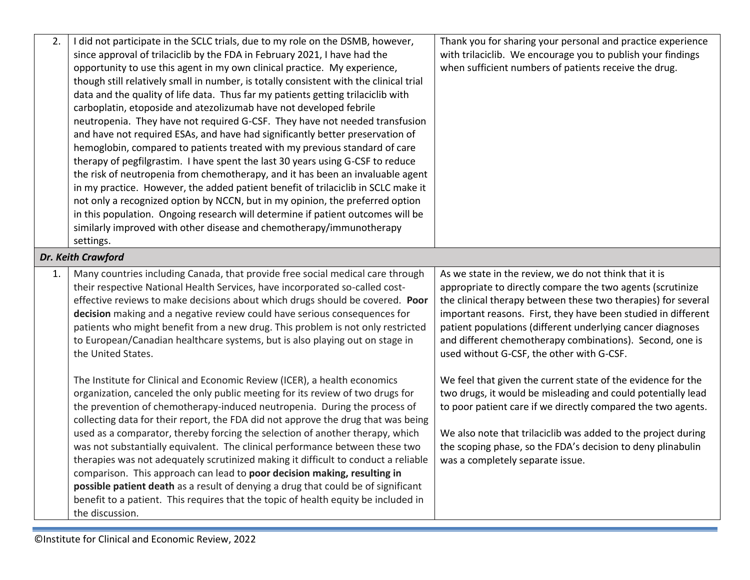| 2. | I did not participate in the SCLC trials, due to my role on the DSMB, however,         | Thank you for sharing your personal and practice experience   |
|----|----------------------------------------------------------------------------------------|---------------------------------------------------------------|
|    | since approval of trilaciclib by the FDA in February 2021, I have had the              | with trilaciclib. We encourage you to publish your findings   |
|    | opportunity to use this agent in my own clinical practice. My experience,              | when sufficient numbers of patients receive the drug.         |
|    | though still relatively small in number, is totally consistent with the clinical trial |                                                               |
|    | data and the quality of life data. Thus far my patients getting trilaciclib with       |                                                               |
|    | carboplatin, etoposide and atezolizumab have not developed febrile                     |                                                               |
|    | neutropenia. They have not required G-CSF. They have not needed transfusion            |                                                               |
|    | and have not required ESAs, and have had significantly better preservation of          |                                                               |
|    | hemoglobin, compared to patients treated with my previous standard of care             |                                                               |
|    | therapy of pegfilgrastim. I have spent the last 30 years using G-CSF to reduce         |                                                               |
|    | the risk of neutropenia from chemotherapy, and it has been an invaluable agent         |                                                               |
|    | in my practice. However, the added patient benefit of trilaciclib in SCLC make it      |                                                               |
|    | not only a recognized option by NCCN, but in my opinion, the preferred option          |                                                               |
|    | in this population. Ongoing research will determine if patient outcomes will be        |                                                               |
|    | similarly improved with other disease and chemotherapy/immunotherapy                   |                                                               |
|    | settings.                                                                              |                                                               |
|    | Dr. Keith Crawford                                                                     |                                                               |
| 1. | Many countries including Canada, that provide free social medical care through         | As we state in the review, we do not think that it is         |
|    | their respective National Health Services, have incorporated so-called cost-           | appropriate to directly compare the two agents (scrutinize    |
|    | effective reviews to make decisions about which drugs should be covered. Poor          | the clinical therapy between these two therapies) for several |
|    | decision making and a negative review could have serious consequences for              | important reasons. First, they have been studied in different |
|    | patients who might benefit from a new drug. This problem is not only restricted        | patient populations (different underlying cancer diagnoses    |
|    | to European/Canadian healthcare systems, but is also playing out on stage in           | and different chemotherapy combinations). Second, one is      |
|    | the United States.                                                                     | used without G-CSF, the other with G-CSF.                     |
|    |                                                                                        |                                                               |
|    | The Institute for Clinical and Economic Review (ICER), a health economics              | We feel that given the current state of the evidence for the  |
|    | organization, canceled the only public meeting for its review of two drugs for         | two drugs, it would be misleading and could potentially lead  |
|    | the prevention of chemotherapy-induced neutropenia. During the process of              | to poor patient care if we directly compared the two agents.  |
|    | collecting data for their report, the FDA did not approve the drug that was being      |                                                               |
|    | used as a comparator, thereby forcing the selection of another therapy, which          | We also note that trilaciclib was added to the project during |
|    | was not substantially equivalent. The clinical performance between these two           | the scoping phase, so the FDA's decision to deny plinabulin   |
|    | therapies was not adequately scrutinized making it difficult to conduct a reliable     | was a completely separate issue.                              |
|    | comparison. This approach can lead to poor decision making, resulting in               |                                                               |
|    | possible patient death as a result of denying a drug that could be of significant      |                                                               |
|    | benefit to a patient. This requires that the topic of health equity be included in     |                                                               |
|    | the discussion.                                                                        |                                                               |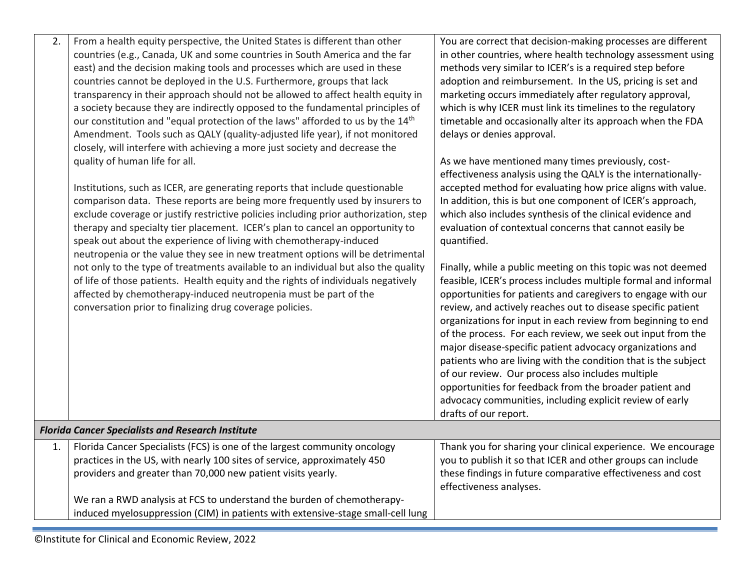| 2. | From a health equity perspective, the United States is different than other                | You are correct that decision-making processes are different   |
|----|--------------------------------------------------------------------------------------------|----------------------------------------------------------------|
|    | countries (e.g., Canada, UK and some countries in South America and the far                | in other countries, where health technology assessment using   |
|    | east) and the decision making tools and processes which are used in these                  | methods very similar to ICER's is a required step before       |
|    | countries cannot be deployed in the U.S. Furthermore, groups that lack                     | adoption and reimbursement. In the US, pricing is set and      |
|    | transparency in their approach should not be allowed to affect health equity in            | marketing occurs immediately after regulatory approval,        |
|    | a society because they are indirectly opposed to the fundamental principles of             | which is why ICER must link its timelines to the regulatory    |
|    | our constitution and "equal protection of the laws" afforded to us by the 14 <sup>th</sup> | timetable and occasionally alter its approach when the FDA     |
|    | Amendment. Tools such as QALY (quality-adjusted life year), if not monitored               | delays or denies approval.                                     |
|    | closely, will interfere with achieving a more just society and decrease the                |                                                                |
|    | quality of human life for all.                                                             | As we have mentioned many times previously, cost-              |
|    |                                                                                            | effectiveness analysis using the QALY is the internationally-  |
|    | Institutions, such as ICER, are generating reports that include questionable               | accepted method for evaluating how price aligns with value.    |
|    | comparison data. These reports are being more frequently used by insurers to               | In addition, this is but one component of ICER's approach,     |
|    | exclude coverage or justify restrictive policies including prior authorization, step       | which also includes synthesis of the clinical evidence and     |
|    | therapy and specialty tier placement. ICER's plan to cancel an opportunity to              | evaluation of contextual concerns that cannot easily be        |
|    | speak out about the experience of living with chemotherapy-induced                         | quantified.                                                    |
|    | neutropenia or the value they see in new treatment options will be detrimental             |                                                                |
|    | not only to the type of treatments available to an individual but also the quality         | Finally, while a public meeting on this topic was not deemed   |
|    | of life of those patients. Health equity and the rights of individuals negatively          | feasible, ICER's process includes multiple formal and informal |
|    | affected by chemotherapy-induced neutropenia must be part of the                           | opportunities for patients and caregivers to engage with our   |
|    | conversation prior to finalizing drug coverage policies.                                   | review, and actively reaches out to disease specific patient   |
|    |                                                                                            | organizations for input in each review from beginning to end   |
|    |                                                                                            | of the process. For each review, we seek out input from the    |
|    |                                                                                            | major disease-specific patient advocacy organizations and      |
|    |                                                                                            | patients who are living with the condition that is the subject |
|    |                                                                                            | of our review. Our process also includes multiple              |
|    |                                                                                            | opportunities for feedback from the broader patient and        |
|    |                                                                                            | advocacy communities, including explicit review of early       |
|    |                                                                                            | drafts of our report.                                          |
|    | <b>Florida Cancer Specialists and Research Institute</b>                                   |                                                                |
| 1. | Florida Cancer Specialists (FCS) is one of the largest community oncology                  | Thank you for sharing your clinical experience. We encourage   |
|    | practices in the US, with nearly 100 sites of service, approximately 450                   | you to publish it so that ICER and other groups can include    |
|    | providers and greater than 70,000 new patient visits yearly.                               | these findings in future comparative effectiveness and cost    |
|    |                                                                                            | effectiveness analyses.                                        |
|    | We ran a RWD analysis at FCS to understand the burden of chemotherapy-                     |                                                                |
|    | induced myelosuppression (CIM) in patients with extensive-stage small-cell lung            |                                                                |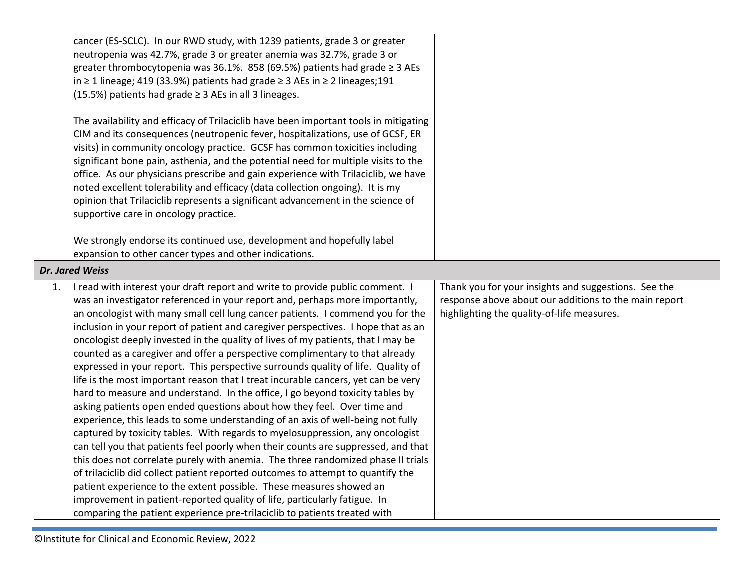|    | cancer (ES-SCLC). In our RWD study, with 1239 patients, grade 3 or greater<br>neutropenia was 42.7%, grade 3 or greater anemia was 32.7%, grade 3 or<br>greater thrombocytopenia was 36.1%. 858 (69.5%) patients had grade ≥ 3 AEs<br>in ≥ 1 lineage; 419 (33.9%) patients had grade ≥ 3 AEs in ≥ 2 lineages; 191<br>(15.5%) patients had grade $\geq$ 3 AEs in all 3 lineages.                                                                                                                                                                                                                                                                                                                                                                                                                                                                                                                                                                                                                                                                                                                                                                                                                                                                                                                                                                                                                                                                                                                                |                                                                                                                                                             |
|----|----------------------------------------------------------------------------------------------------------------------------------------------------------------------------------------------------------------------------------------------------------------------------------------------------------------------------------------------------------------------------------------------------------------------------------------------------------------------------------------------------------------------------------------------------------------------------------------------------------------------------------------------------------------------------------------------------------------------------------------------------------------------------------------------------------------------------------------------------------------------------------------------------------------------------------------------------------------------------------------------------------------------------------------------------------------------------------------------------------------------------------------------------------------------------------------------------------------------------------------------------------------------------------------------------------------------------------------------------------------------------------------------------------------------------------------------------------------------------------------------------------------|-------------------------------------------------------------------------------------------------------------------------------------------------------------|
|    | The availability and efficacy of Trilaciclib have been important tools in mitigating<br>CIM and its consequences (neutropenic fever, hospitalizations, use of GCSF, ER<br>visits) in community oncology practice. GCSF has common toxicities including<br>significant bone pain, asthenia, and the potential need for multiple visits to the<br>office. As our physicians prescribe and gain experience with Trilaciclib, we have<br>noted excellent tolerability and efficacy (data collection ongoing). It is my<br>opinion that Trilaciclib represents a significant advancement in the science of<br>supportive care in oncology practice.                                                                                                                                                                                                                                                                                                                                                                                                                                                                                                                                                                                                                                                                                                                                                                                                                                                                 |                                                                                                                                                             |
|    | We strongly endorse its continued use, development and hopefully label<br>expansion to other cancer types and other indications.                                                                                                                                                                                                                                                                                                                                                                                                                                                                                                                                                                                                                                                                                                                                                                                                                                                                                                                                                                                                                                                                                                                                                                                                                                                                                                                                                                               |                                                                                                                                                             |
|    | Dr. Jared Weiss                                                                                                                                                                                                                                                                                                                                                                                                                                                                                                                                                                                                                                                                                                                                                                                                                                                                                                                                                                                                                                                                                                                                                                                                                                                                                                                                                                                                                                                                                                |                                                                                                                                                             |
| 1. | I read with interest your draft report and write to provide public comment. I<br>was an investigator referenced in your report and, perhaps more importantly,<br>an oncologist with many small cell lung cancer patients. I commend you for the<br>inclusion in your report of patient and caregiver perspectives. I hope that as an<br>oncologist deeply invested in the quality of lives of my patients, that I may be<br>counted as a caregiver and offer a perspective complimentary to that already<br>expressed in your report. This perspective surrounds quality of life. Quality of<br>life is the most important reason that I treat incurable cancers, yet can be very<br>hard to measure and understand. In the office, I go beyond toxicity tables by<br>asking patients open ended questions about how they feel. Over time and<br>experience, this leads to some understanding of an axis of well-being not fully<br>captured by toxicity tables. With regards to myelosuppression, any oncologist<br>can tell you that patients feel poorly when their counts are suppressed, and that<br>this does not correlate purely with anemia. The three randomized phase II trials<br>of trilaciclib did collect patient reported outcomes to attempt to quantify the<br>patient experience to the extent possible. These measures showed an<br>improvement in patient-reported quality of life, particularly fatigue. In<br>comparing the patient experience pre-trilaciclib to patients treated with | Thank you for your insights and suggestions. See the<br>response above about our additions to the main report<br>highlighting the quality-of-life measures. |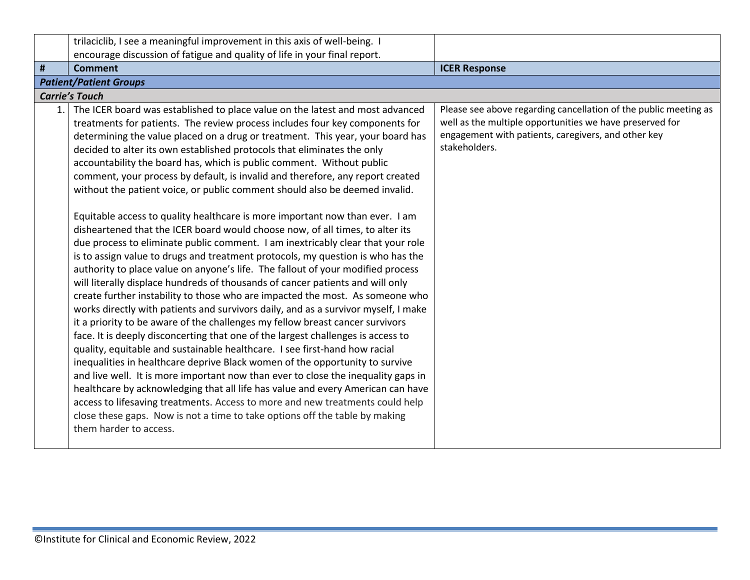<span id="page-15-0"></span>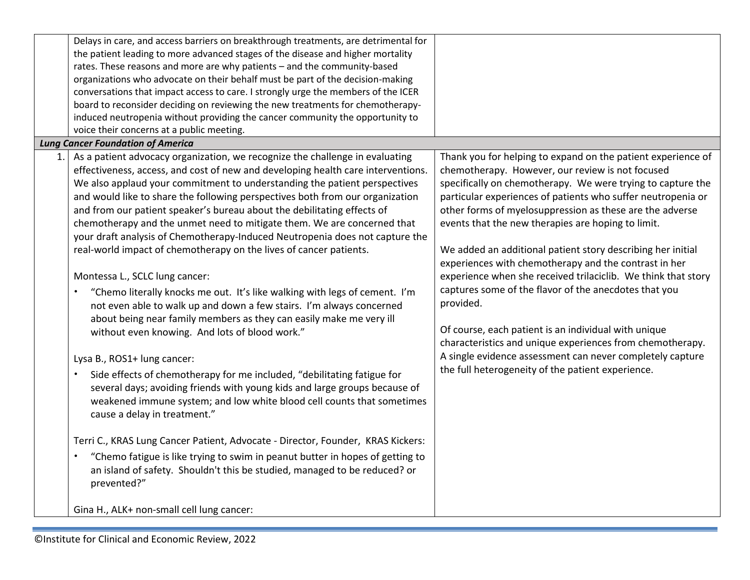|     | Delays in care, and access barriers on breakthrough treatments, are detrimental for<br>the patient leading to more advanced stages of the disease and higher mortality<br>rates. These reasons and more are why patients - and the community-based<br>organizations who advocate on their behalf must be part of the decision-making<br>conversations that impact access to care. I strongly urge the members of the ICER<br>board to reconsider deciding on reviewing the new treatments for chemotherapy-<br>induced neutropenia without providing the cancer community the opportunity to<br>voice their concerns at a public meeting.<br><b>Lung Cancer Foundation of America</b>                                                                                                                                                                                                                                                                                                                   |                                                                                                                                                                                                                                                                                                                                                                                                                                                                                                                                                                                                                                                                                                                                                                                                                    |
|-----|---------------------------------------------------------------------------------------------------------------------------------------------------------------------------------------------------------------------------------------------------------------------------------------------------------------------------------------------------------------------------------------------------------------------------------------------------------------------------------------------------------------------------------------------------------------------------------------------------------------------------------------------------------------------------------------------------------------------------------------------------------------------------------------------------------------------------------------------------------------------------------------------------------------------------------------------------------------------------------------------------------|--------------------------------------------------------------------------------------------------------------------------------------------------------------------------------------------------------------------------------------------------------------------------------------------------------------------------------------------------------------------------------------------------------------------------------------------------------------------------------------------------------------------------------------------------------------------------------------------------------------------------------------------------------------------------------------------------------------------------------------------------------------------------------------------------------------------|
| 1.1 | As a patient advocacy organization, we recognize the challenge in evaluating<br>effectiveness, access, and cost of new and developing health care interventions.<br>We also applaud your commitment to understanding the patient perspectives<br>and would like to share the following perspectives both from our organization<br>and from our patient speaker's bureau about the debilitating effects of<br>chemotherapy and the unmet need to mitigate them. We are concerned that<br>your draft analysis of Chemotherapy-Induced Neutropenia does not capture the<br>real-world impact of chemotherapy on the lives of cancer patients.<br>Montessa L., SCLC lung cancer:<br>"Chemo literally knocks me out. It's like walking with legs of cement. I'm<br>$\bullet$<br>not even able to walk up and down a few stairs. I'm always concerned<br>about being near family members as they can easily make me very ill<br>without even knowing. And lots of blood work."<br>Lysa B., ROS1+ lung cancer: | Thank you for helping to expand on the patient experience of<br>chemotherapy. However, our review is not focused<br>specifically on chemotherapy. We were trying to capture the<br>particular experiences of patients who suffer neutropenia or<br>other forms of myelosuppression as these are the adverse<br>events that the new therapies are hoping to limit.<br>We added an additional patient story describing her initial<br>experiences with chemotherapy and the contrast in her<br>experience when she received trilaciclib. We think that story<br>captures some of the flavor of the anecdotes that you<br>provided.<br>Of course, each patient is an individual with unique<br>characteristics and unique experiences from chemotherapy.<br>A single evidence assessment can never completely capture |
|     | Side effects of chemotherapy for me included, "debilitating fatigue for<br>several days; avoiding friends with young kids and large groups because of<br>weakened immune system; and low white blood cell counts that sometimes<br>cause a delay in treatment."<br>Terri C., KRAS Lung Cancer Patient, Advocate - Director, Founder, KRAS Kickers:<br>"Chemo fatigue is like trying to swim in peanut butter in hopes of getting to<br>$\bullet$<br>an island of safety. Shouldn't this be studied, managed to be reduced? or<br>prevented?"<br>Gina H., ALK+ non-small cell lung cancer:                                                                                                                                                                                                                                                                                                                                                                                                               | the full heterogeneity of the patient experience.                                                                                                                                                                                                                                                                                                                                                                                                                                                                                                                                                                                                                                                                                                                                                                  |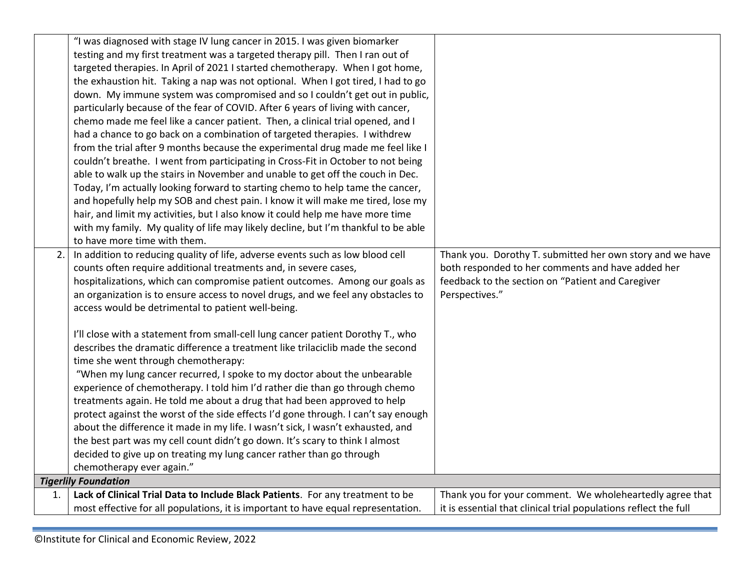|    | "I was diagnosed with stage IV lung cancer in 2015. I was given biomarker          |                                                                  |
|----|------------------------------------------------------------------------------------|------------------------------------------------------------------|
|    | testing and my first treatment was a targeted therapy pill. Then I ran out of      |                                                                  |
|    | targeted therapies. In April of 2021 I started chemotherapy. When I got home,      |                                                                  |
|    | the exhaustion hit. Taking a nap was not optional. When I got tired, I had to go   |                                                                  |
|    | down. My immune system was compromised and so I couldn't get out in public,        |                                                                  |
|    | particularly because of the fear of COVID. After 6 years of living with cancer,    |                                                                  |
|    | chemo made me feel like a cancer patient. Then, a clinical trial opened, and I     |                                                                  |
|    | had a chance to go back on a combination of targeted therapies. I withdrew         |                                                                  |
|    | from the trial after 9 months because the experimental drug made me feel like I    |                                                                  |
|    | couldn't breathe. I went from participating in Cross-Fit in October to not being   |                                                                  |
|    | able to walk up the stairs in November and unable to get off the couch in Dec.     |                                                                  |
|    | Today, I'm actually looking forward to starting chemo to help tame the cancer,     |                                                                  |
|    | and hopefully help my SOB and chest pain. I know it will make me tired, lose my    |                                                                  |
|    | hair, and limit my activities, but I also know it could help me have more time     |                                                                  |
|    | with my family. My quality of life may likely decline, but I'm thankful to be able |                                                                  |
|    | to have more time with them.                                                       |                                                                  |
| 2. | In addition to reducing quality of life, adverse events such as low blood cell     | Thank you. Dorothy T. submitted her own story and we have        |
|    | counts often require additional treatments and, in severe cases,                   | both responded to her comments and have added her                |
|    | hospitalizations, which can compromise patient outcomes. Among our goals as        | feedback to the section on "Patient and Caregiver                |
|    | an organization is to ensure access to novel drugs, and we feel any obstacles to   | Perspectives."                                                   |
|    | access would be detrimental to patient well-being.                                 |                                                                  |
|    |                                                                                    |                                                                  |
|    | I'll close with a statement from small-cell lung cancer patient Dorothy T., who    |                                                                  |
|    | describes the dramatic difference a treatment like trilaciclib made the second     |                                                                  |
|    | time she went through chemotherapy:                                                |                                                                  |
|    | "When my lung cancer recurred, I spoke to my doctor about the unbearable           |                                                                  |
|    | experience of chemotherapy. I told him I'd rather die than go through chemo        |                                                                  |
|    | treatments again. He told me about a drug that had been approved to help           |                                                                  |
|    | protect against the worst of the side effects I'd gone through. I can't say enough |                                                                  |
|    | about the difference it made in my life. I wasn't sick, I wasn't exhausted, and    |                                                                  |
|    | the best part was my cell count didn't go down. It's scary to think I almost       |                                                                  |
|    | decided to give up on treating my lung cancer rather than go through               |                                                                  |
|    | chemotherapy ever again."                                                          |                                                                  |
|    | <b>Tigerlily Foundation</b>                                                        |                                                                  |
| 1. | Lack of Clinical Trial Data to Include Black Patients. For any treatment to be     | Thank you for your comment. We wholeheartedly agree that         |
|    | most effective for all populations, it is important to have equal representation.  | it is essential that clinical trial populations reflect the full |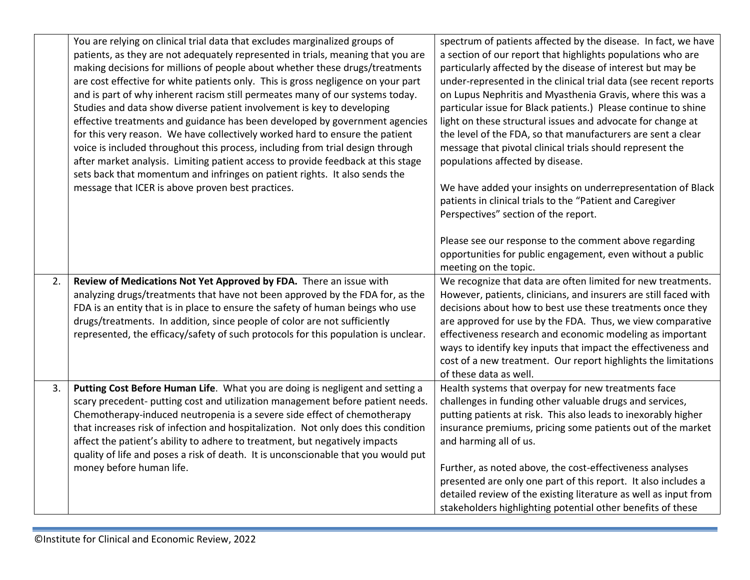|    | You are relying on clinical trial data that excludes marginalized groups of<br>patients, as they are not adequately represented in trials, meaning that you are<br>making decisions for millions of people about whether these drugs/treatments<br>are cost effective for white patients only. This is gross negligence on your part<br>and is part of why inherent racism still permeates many of our systems today.<br>Studies and data show diverse patient involvement is key to developing<br>effective treatments and guidance has been developed by government agencies<br>for this very reason. We have collectively worked hard to ensure the patient<br>voice is included throughout this process, including from trial design through<br>after market analysis. Limiting patient access to provide feedback at this stage | spectrum of patients affected by the disease. In fact, we have<br>a section of our report that highlights populations who are<br>particularly affected by the disease of interest but may be<br>under-represented in the clinical trial data (see recent reports<br>on Lupus Nephritis and Myasthenia Gravis, where this was a<br>particular issue for Black patients.) Please continue to shine<br>light on these structural issues and advocate for change at<br>the level of the FDA, so that manufacturers are sent a clear<br>message that pivotal clinical trials should represent the<br>populations affected by disease. |
|----|--------------------------------------------------------------------------------------------------------------------------------------------------------------------------------------------------------------------------------------------------------------------------------------------------------------------------------------------------------------------------------------------------------------------------------------------------------------------------------------------------------------------------------------------------------------------------------------------------------------------------------------------------------------------------------------------------------------------------------------------------------------------------------------------------------------------------------------|----------------------------------------------------------------------------------------------------------------------------------------------------------------------------------------------------------------------------------------------------------------------------------------------------------------------------------------------------------------------------------------------------------------------------------------------------------------------------------------------------------------------------------------------------------------------------------------------------------------------------------|
|    | sets back that momentum and infringes on patient rights. It also sends the<br>message that ICER is above proven best practices.                                                                                                                                                                                                                                                                                                                                                                                                                                                                                                                                                                                                                                                                                                      | We have added your insights on underrepresentation of Black<br>patients in clinical trials to the "Patient and Caregiver<br>Perspectives" section of the report.                                                                                                                                                                                                                                                                                                                                                                                                                                                                 |
|    |                                                                                                                                                                                                                                                                                                                                                                                                                                                                                                                                                                                                                                                                                                                                                                                                                                      | Please see our response to the comment above regarding<br>opportunities for public engagement, even without a public<br>meeting on the topic.                                                                                                                                                                                                                                                                                                                                                                                                                                                                                    |
| 2. | Review of Medications Not Yet Approved by FDA. There an issue with<br>analyzing drugs/treatments that have not been approved by the FDA for, as the<br>FDA is an entity that is in place to ensure the safety of human beings who use<br>drugs/treatments. In addition, since people of color are not sufficiently<br>represented, the efficacy/safety of such protocols for this population is unclear.                                                                                                                                                                                                                                                                                                                                                                                                                             | We recognize that data are often limited for new treatments.<br>However, patients, clinicians, and insurers are still faced with<br>decisions about how to best use these treatments once they<br>are approved for use by the FDA. Thus, we view comparative<br>effectiveness research and economic modeling as important<br>ways to identify key inputs that impact the effectiveness and<br>cost of a new treatment. Our report highlights the limitations<br>of these data as well.                                                                                                                                           |
| 3. | Putting Cost Before Human Life. What you are doing is negligent and setting a<br>scary precedent- putting cost and utilization management before patient needs.<br>Chemotherapy-induced neutropenia is a severe side effect of chemotherapy<br>that increases risk of infection and hospitalization. Not only does this condition<br>affect the patient's ability to adhere to treatment, but negatively impacts<br>quality of life and poses a risk of death. It is unconscionable that you would put<br>money before human life.                                                                                                                                                                                                                                                                                                   | Health systems that overpay for new treatments face<br>challenges in funding other valuable drugs and services,<br>putting patients at risk. This also leads to inexorably higher<br>insurance premiums, pricing some patients out of the market<br>and harming all of us.<br>Further, as noted above, the cost-effectiveness analyses<br>presented are only one part of this report. It also includes a<br>detailed review of the existing literature as well as input from<br>stakeholders highlighting potential other benefits of these                                                                                      |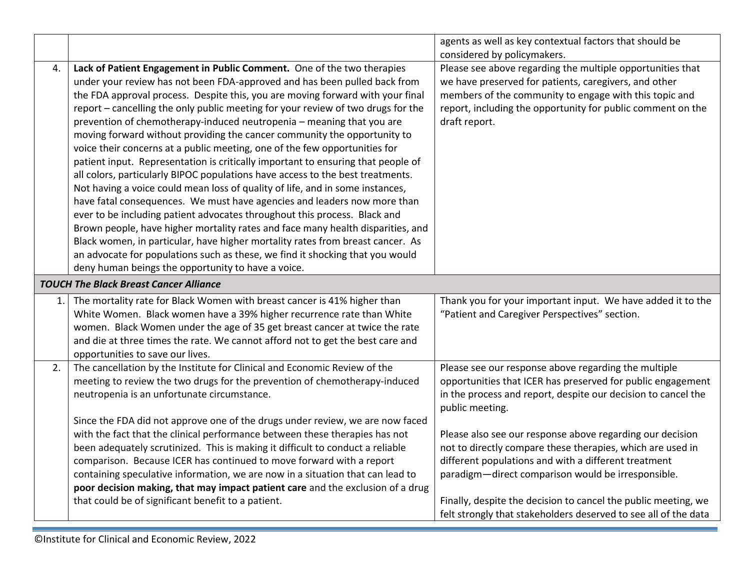|    |                                                                                  | agents as well as key contextual factors that should be                                                                           |
|----|----------------------------------------------------------------------------------|-----------------------------------------------------------------------------------------------------------------------------------|
|    |                                                                                  | considered by policymakers.                                                                                                       |
| 4. | Lack of Patient Engagement in Public Comment. One of the two therapies           | Please see above regarding the multiple opportunities that                                                                        |
|    | under your review has not been FDA-approved and has been pulled back from        | we have preserved for patients, caregivers, and other                                                                             |
|    | the FDA approval process. Despite this, you are moving forward with your final   | members of the community to engage with this topic and                                                                            |
|    | report - cancelling the only public meeting for your review of two drugs for the | report, including the opportunity for public comment on the                                                                       |
|    | prevention of chemotherapy-induced neutropenia - meaning that you are            | draft report.                                                                                                                     |
|    | moving forward without providing the cancer community the opportunity to         |                                                                                                                                   |
|    | voice their concerns at a public meeting, one of the few opportunities for       |                                                                                                                                   |
|    | patient input. Representation is critically important to ensuring that people of |                                                                                                                                   |
|    | all colors, particularly BIPOC populations have access to the best treatments.   |                                                                                                                                   |
|    | Not having a voice could mean loss of quality of life, and in some instances,    |                                                                                                                                   |
|    | have fatal consequences. We must have agencies and leaders now more than         |                                                                                                                                   |
|    | ever to be including patient advocates throughout this process. Black and        |                                                                                                                                   |
|    | Brown people, have higher mortality rates and face many health disparities, and  |                                                                                                                                   |
|    | Black women, in particular, have higher mortality rates from breast cancer. As   |                                                                                                                                   |
|    | an advocate for populations such as these, we find it shocking that you would    |                                                                                                                                   |
|    | deny human beings the opportunity to have a voice.                               |                                                                                                                                   |
|    | <b>TOUCH The Black Breast Cancer Alliance</b>                                    |                                                                                                                                   |
|    |                                                                                  |                                                                                                                                   |
| 1. | The mortality rate for Black Women with breast cancer is 41% higher than         | Thank you for your important input. We have added it to the                                                                       |
|    | White Women. Black women have a 39% higher recurrence rate than White            | "Patient and Caregiver Perspectives" section.                                                                                     |
|    | women. Black Women under the age of 35 get breast cancer at twice the rate       |                                                                                                                                   |
|    | and die at three times the rate. We cannot afford not to get the best care and   |                                                                                                                                   |
|    | opportunities to save our lives.                                                 |                                                                                                                                   |
| 2. | The cancellation by the Institute for Clinical and Economic Review of the        | Please see our response above regarding the multiple                                                                              |
|    | meeting to review the two drugs for the prevention of chemotherapy-induced       | opportunities that ICER has preserved for public engagement                                                                       |
|    | neutropenia is an unfortunate circumstance.                                      | in the process and report, despite our decision to cancel the                                                                     |
|    |                                                                                  | public meeting.                                                                                                                   |
|    | Since the FDA did not approve one of the drugs under review, we are now faced    |                                                                                                                                   |
|    | with the fact that the clinical performance between these therapies has not      | Please also see our response above regarding our decision                                                                         |
|    | been adequately scrutinized. This is making it difficult to conduct a reliable   | not to directly compare these therapies, which are used in                                                                        |
|    | comparison. Because ICER has continued to move forward with a report             | different populations and with a different treatment                                                                              |
|    | containing speculative information, we are now in a situation that can lead to   | paradigm-direct comparison would be irresponsible.                                                                                |
|    | poor decision making, that may impact patient care and the exclusion of a drug   |                                                                                                                                   |
|    | that could be of significant benefit to a patient.                               | Finally, despite the decision to cancel the public meeting, we<br>felt strongly that stakeholders deserved to see all of the data |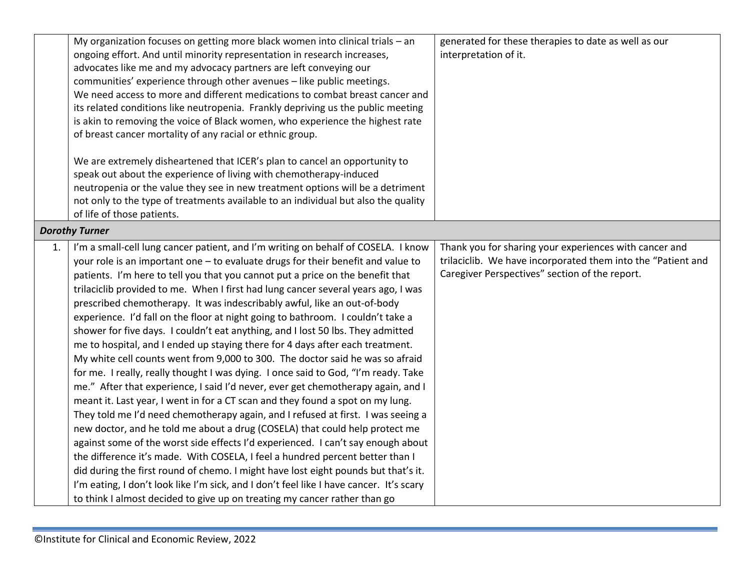|    | My organization focuses on getting more black women into clinical trials - an<br>ongoing effort. And until minority representation in research increases,<br>advocates like me and my advocacy partners are left conveying our<br>communities' experience through other avenues - like public meetings.<br>We need access to more and different medications to combat breast cancer and<br>its related conditions like neutropenia. Frankly depriving us the public meeting<br>is akin to removing the voice of Black women, who experience the highest rate                                                                                                                                                                                                                                                                                                                                                                                                                                                                                                                                                                                                                                                                                                                                                                                                                                                                                                                                                                                                                                                                       | generated for these therapies to date as well as our<br>interpretation of it.                                                                                            |  |  |
|----|------------------------------------------------------------------------------------------------------------------------------------------------------------------------------------------------------------------------------------------------------------------------------------------------------------------------------------------------------------------------------------------------------------------------------------------------------------------------------------------------------------------------------------------------------------------------------------------------------------------------------------------------------------------------------------------------------------------------------------------------------------------------------------------------------------------------------------------------------------------------------------------------------------------------------------------------------------------------------------------------------------------------------------------------------------------------------------------------------------------------------------------------------------------------------------------------------------------------------------------------------------------------------------------------------------------------------------------------------------------------------------------------------------------------------------------------------------------------------------------------------------------------------------------------------------------------------------------------------------------------------------|--------------------------------------------------------------------------------------------------------------------------------------------------------------------------|--|--|
|    | of breast cancer mortality of any racial or ethnic group.<br>We are extremely disheartened that ICER's plan to cancel an opportunity to<br>speak out about the experience of living with chemotherapy-induced<br>neutropenia or the value they see in new treatment options will be a detriment<br>not only to the type of treatments available to an individual but also the quality<br>of life of those patients.                                                                                                                                                                                                                                                                                                                                                                                                                                                                                                                                                                                                                                                                                                                                                                                                                                                                                                                                                                                                                                                                                                                                                                                                                |                                                                                                                                                                          |  |  |
|    | <b>Dorothy Turner</b>                                                                                                                                                                                                                                                                                                                                                                                                                                                                                                                                                                                                                                                                                                                                                                                                                                                                                                                                                                                                                                                                                                                                                                                                                                                                                                                                                                                                                                                                                                                                                                                                              |                                                                                                                                                                          |  |  |
| 1. | I'm a small-cell lung cancer patient, and I'm writing on behalf of COSELA. I know<br>your role is an important one - to evaluate drugs for their benefit and value to<br>patients. I'm here to tell you that you cannot put a price on the benefit that<br>trilaciclib provided to me. When I first had lung cancer several years ago, I was<br>prescribed chemotherapy. It was indescribably awful, like an out-of-body<br>experience. I'd fall on the floor at night going to bathroom. I couldn't take a<br>shower for five days. I couldn't eat anything, and I lost 50 lbs. They admitted<br>me to hospital, and I ended up staying there for 4 days after each treatment.<br>My white cell counts went from 9,000 to 300. The doctor said he was so afraid<br>for me. I really, really thought I was dying. I once said to God, "I'm ready. Take<br>me." After that experience, I said I'd never, ever get chemotherapy again, and I<br>meant it. Last year, I went in for a CT scan and they found a spot on my lung.<br>They told me I'd need chemotherapy again, and I refused at first. I was seeing a<br>new doctor, and he told me about a drug (COSELA) that could help protect me<br>against some of the worst side effects I'd experienced. I can't say enough about<br>the difference it's made. With COSELA, I feel a hundred percent better than I<br>did during the first round of chemo. I might have lost eight pounds but that's it.<br>I'm eating, I don't look like I'm sick, and I don't feel like I have cancer. It's scary<br>to think I almost decided to give up on treating my cancer rather than go | Thank you for sharing your experiences with cancer and<br>trilaciclib. We have incorporated them into the "Patient and<br>Caregiver Perspectives" section of the report. |  |  |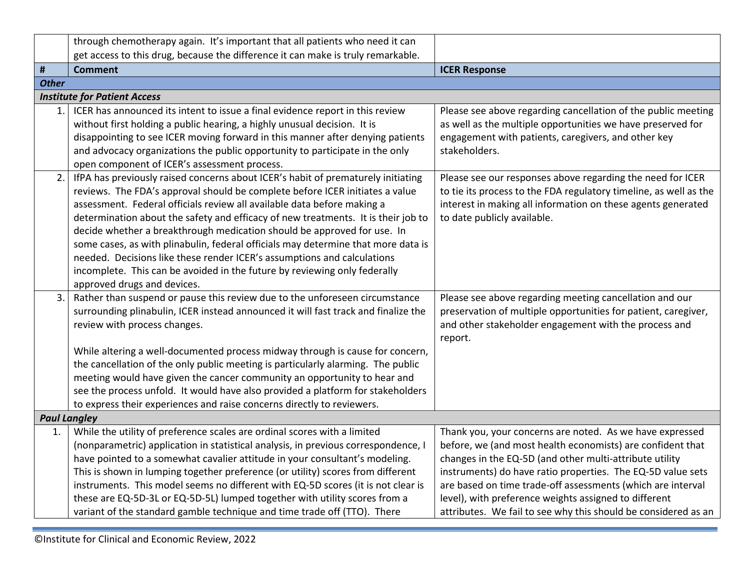<span id="page-21-0"></span>

|                     | through chemotherapy again. It's important that all patients who need it can                                                                                      |                                                                                                                           |  |
|---------------------|-------------------------------------------------------------------------------------------------------------------------------------------------------------------|---------------------------------------------------------------------------------------------------------------------------|--|
|                     | get access to this drug, because the difference it can make is truly remarkable.                                                                                  |                                                                                                                           |  |
| #                   | <b>Comment</b>                                                                                                                                                    | <b>ICER Response</b>                                                                                                      |  |
| <b>Other</b>        |                                                                                                                                                                   |                                                                                                                           |  |
|                     | <b>Institute for Patient Access</b>                                                                                                                               |                                                                                                                           |  |
| 1.1                 | ICER has announced its intent to issue a final evidence report in this review                                                                                     | Please see above regarding cancellation of the public meeting                                                             |  |
|                     | without first holding a public hearing, a highly unusual decision. It is                                                                                          | as well as the multiple opportunities we have preserved for                                                               |  |
|                     | disappointing to see ICER moving forward in this manner after denying patients                                                                                    | engagement with patients, caregivers, and other key                                                                       |  |
|                     | and advocacy organizations the public opportunity to participate in the only                                                                                      | stakeholders.                                                                                                             |  |
|                     | open component of ICER's assessment process.                                                                                                                      |                                                                                                                           |  |
| 2.                  | IfPA has previously raised concerns about ICER's habit of prematurely initiating                                                                                  | Please see our responses above regarding the need for ICER                                                                |  |
|                     | reviews. The FDA's approval should be complete before ICER initiates a value                                                                                      | to tie its process to the FDA regulatory timeline, as well as the                                                         |  |
|                     | assessment. Federal officials review all available data before making a                                                                                           | interest in making all information on these agents generated                                                              |  |
|                     | determination about the safety and efficacy of new treatments. It is their job to                                                                                 | to date publicly available.                                                                                               |  |
|                     | decide whether a breakthrough medication should be approved for use. In                                                                                           |                                                                                                                           |  |
|                     | some cases, as with plinabulin, federal officials may determine that more data is                                                                                 |                                                                                                                           |  |
|                     | needed. Decisions like these render ICER's assumptions and calculations                                                                                           |                                                                                                                           |  |
|                     | incomplete. This can be avoided in the future by reviewing only federally                                                                                         |                                                                                                                           |  |
|                     | approved drugs and devices.                                                                                                                                       |                                                                                                                           |  |
| 3.                  | Rather than suspend or pause this review due to the unforeseen circumstance<br>surrounding plinabulin, ICER instead announced it will fast track and finalize the | Please see above regarding meeting cancellation and our<br>preservation of multiple opportunities for patient, caregiver, |  |
|                     | review with process changes.                                                                                                                                      | and other stakeholder engagement with the process and                                                                     |  |
|                     |                                                                                                                                                                   | report.                                                                                                                   |  |
|                     | While altering a well-documented process midway through is cause for concern,                                                                                     |                                                                                                                           |  |
|                     | the cancellation of the only public meeting is particularly alarming. The public                                                                                  |                                                                                                                           |  |
|                     | meeting would have given the cancer community an opportunity to hear and                                                                                          |                                                                                                                           |  |
|                     | see the process unfold. It would have also provided a platform for stakeholders                                                                                   |                                                                                                                           |  |
|                     | to express their experiences and raise concerns directly to reviewers.                                                                                            |                                                                                                                           |  |
| <b>Paul Langley</b> |                                                                                                                                                                   |                                                                                                                           |  |
| 1.                  | While the utility of preference scales are ordinal scores with a limited                                                                                          | Thank you, your concerns are noted. As we have expressed                                                                  |  |
|                     | (nonparametric) application in statistical analysis, in previous correspondence, I                                                                                | before, we (and most health economists) are confident that                                                                |  |
|                     | have pointed to a somewhat cavalier attitude in your consultant's modeling.                                                                                       | changes in the EQ-5D (and other multi-attribute utility                                                                   |  |
|                     | This is shown in lumping together preference (or utility) scores from different                                                                                   | instruments) do have ratio properties. The EQ-5D value sets                                                               |  |
|                     | instruments. This model seems no different with EQ-5D scores (it is not clear is                                                                                  | are based on time trade-off assessments (which are interval                                                               |  |
|                     | these are EQ-5D-3L or EQ-5D-5L) lumped together with utility scores from a                                                                                        | level), with preference weights assigned to different                                                                     |  |
|                     | variant of the standard gamble technique and time trade off (TTO). There                                                                                          | attributes. We fail to see why this should be considered as an                                                            |  |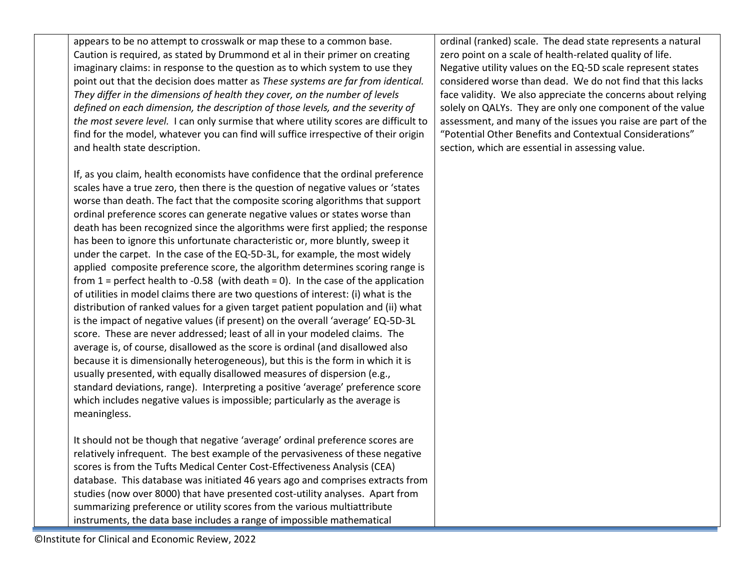appears to be no attempt to crosswalk or map these to a common base. Caution is required, as stated by Drummond et al in their primer on creating imaginary claims: in response to the question as to which system to use they point out that the decision does matter as *These systems are far from identical. They differ in the dimensions of health they cover, on the number of levels defined on each dimension, the description of those levels, and the severity of the most severe level.* I can only surmise that where utility scores are difficult to find for the model, whatever you can find will suffice irrespective of their origin and health state description.

If, as you claim, health economists have confidence that the ordinal preference scales have a true zero, then there is the question of negative values or 'states worse than death. The fact that the composite scoring algorithms that support ordinal preference scores can generate negative values or states worse than death has been recognized since the algorithms were first applied; the response has been to ignore this unfortunate characteristic or, more bluntly, sweep it under the carpet. In the case of the EQ-5D-3L, for example, the most widely applied composite preference score, the algorithm determines scoring range is from  $1$  = perfect health to -0.58 (with death = 0). In the case of the application of utilities in model claims there are two questions of interest: (i) what is the distribution of ranked values for a given target patient population and (ii) what is the impact of negative values (if present) on the overall 'average' EQ-5D-3L score. These are never addressed; least of all in your modeled claims. The average is, of course, disallowed as the score is ordinal (and disallowed also because it is dimensionally heterogeneous), but this is the form in which it is usually presented, with equally disallowed measures of dispersion (e.g., standard deviations, range). Interpreting a positive 'average' preference score which includes negative values is impossible; particularly as the average is meaningless.

It should not be though that negative 'average' ordinal preference scores are relatively infrequent. The best example of the pervasiveness of these negative scores is from the Tufts Medical Center Cost-Effectiveness Analysis (CEA) database. This database was initiated 46 years ago and comprises extracts from studies (now over 8000) that have presented cost-utility analyses. Apart from summarizing preference or utility scores from the various multiattribute instruments, the data base includes a range of impossible mathematical

ordinal (ranked) scale. The dead state represents a natural zero point on a scale of health-related quality of life. Negative utility values on the EQ-5D scale represent states considered worse than dead. We do not find that this lacks face validity. We also appreciate the concerns about relying solely on QALYs. They are only one component of the value assessment, and many of the issues you raise are part of the "Potential Other Benefits and Contextual Considerations" section, which are essential in assessing value.

©Institute for Clinical and Economic Review, 2022